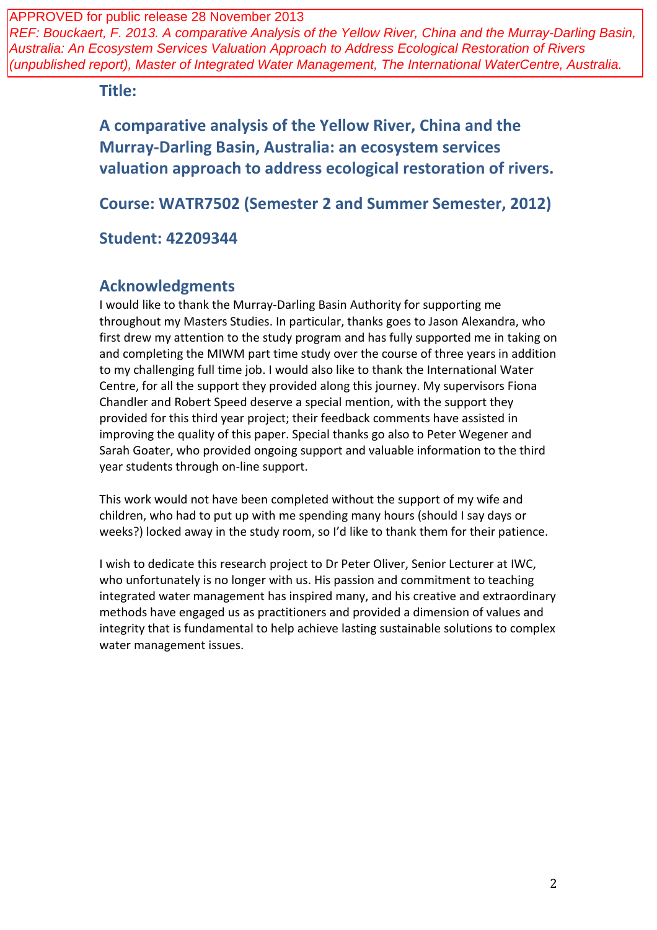REF: Bouckaert, F. 2013. A comparative Analysis of the Yellow River, China and the Murray-Darling Basin, Australia: An Ecosystem Services Valuation Approach to Address Ecological Restoration of Rivers (unpublished report), Master of Integrated Water Management, The International WaterCentre, Australia.

**Title:**

**A comparative analysis of the Yellow River, China and the Murray-Darling Basin, Australia: an ecosystem services valuation approach to address ecological restoration of rivers.**

**Course: WATR7502 (Semester 2 and Summer Semester, 2012)**

**Student: 42209344**

# **Acknowledgments**

I would like to thank the Murray-Darling Basin Authority for supporting me throughout my Masters Studies. In particular, thanks goes to Jason Alexandra, who first drew my attention to the study program and has fully supported me in taking on and completing the MIWM part time study over the course of three years in addition to my challenging full time job. I would also like to thank the International Water Centre, for all the support they provided along this journey. My supervisors Fiona Chandler and Robert Speed deserve a special mention, with the support they provided for this third year project; their feedback comments have assisted in improving the quality of this paper. Special thanks go also to Peter Wegener and Sarah Goater, who provided ongoing support and valuable information to the third year students through on-line support.

This work would not have been completed without the support of my wife and children, who had to put up with me spending many hours (should I say days or weeks?) locked away in the study room, so I'd like to thank them for their patience.

I wish to dedicate this research project to Dr Peter Oliver, Senior Lecturer at IWC, who unfortunately is no longer with us. His passion and commitment to teaching integrated water management has inspired many, and his creative and extraordinary methods have engaged us as practitioners and provided a dimension of values and integrity that is fundamental to help achieve lasting sustainable solutions to complex water management issues.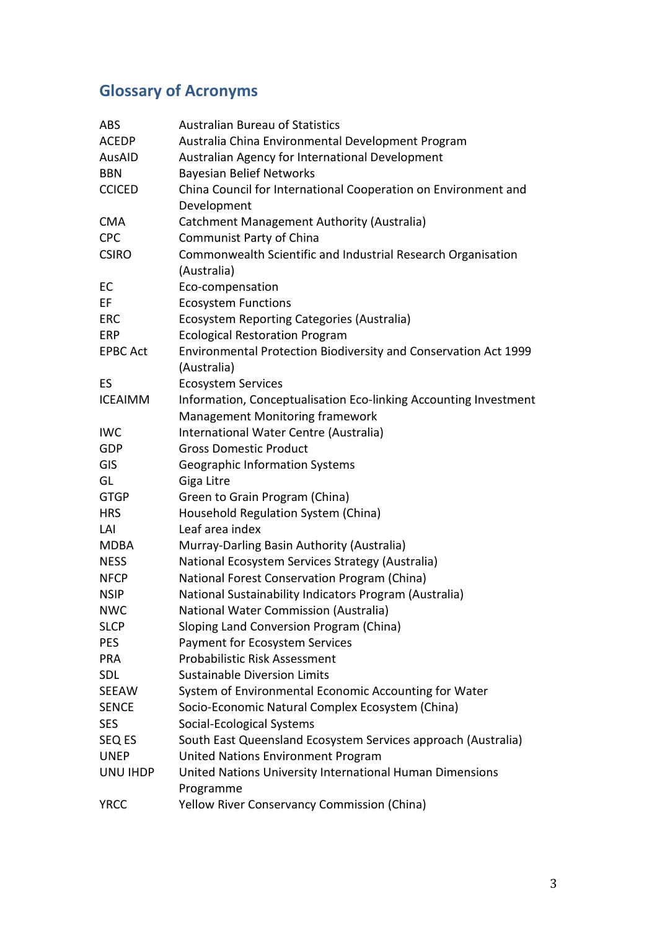# **Glossary of Acronyms**

| <b>ABS</b>      | <b>Australian Bureau of Statistics</b>                           |
|-----------------|------------------------------------------------------------------|
| <b>ACEDP</b>    | Australia China Environmental Development Program                |
| AusAID          | Australian Agency for International Development                  |
| <b>BBN</b>      | <b>Bayesian Belief Networks</b>                                  |
| <b>CCICED</b>   | China Council for International Cooperation on Environment and   |
|                 | Development                                                      |
| <b>CMA</b>      | Catchment Management Authority (Australia)                       |
| <b>CPC</b>      | Communist Party of China                                         |
| <b>CSIRO</b>    | Commonwealth Scientific and Industrial Research Organisation     |
|                 | (Australia)                                                      |
| EC              | Eco-compensation                                                 |
| EF              | <b>Ecosystem Functions</b>                                       |
| <b>ERC</b>      | Ecosystem Reporting Categories (Australia)                       |
| <b>ERP</b>      | <b>Ecological Restoration Program</b>                            |
| <b>EPBC Act</b> | Environmental Protection Biodiversity and Conservation Act 1999  |
|                 | (Australia)                                                      |
| ES              | <b>Ecosystem Services</b>                                        |
| <b>ICEAIMM</b>  | Information, Conceptualisation Eco-linking Accounting Investment |
|                 | Management Monitoring framework                                  |
| <b>IWC</b>      | International Water Centre (Australia)                           |
| <b>GDP</b>      | <b>Gross Domestic Product</b>                                    |
| GIS             | <b>Geographic Information Systems</b>                            |
| GL              | Giga Litre                                                       |
| <b>GTGP</b>     | Green to Grain Program (China)                                   |
| <b>HRS</b>      | Household Regulation System (China)                              |
| LAI             | Leaf area index                                                  |
| <b>MDBA</b>     | Murray-Darling Basin Authority (Australia)                       |
| <b>NESS</b>     | National Ecosystem Services Strategy (Australia)                 |
| <b>NFCP</b>     | National Forest Conservation Program (China)                     |
| <b>NSIP</b>     | National Sustainability Indicators Program (Australia)           |
| <b>NWC</b>      | National Water Commission (Australia)                            |
| <b>SLCP</b>     | Sloping Land Conversion Program (China)                          |
| <b>PES</b>      | Payment for Ecosystem Services                                   |
| <b>PRA</b>      | Probabilistic Risk Assessment                                    |
| <b>SDL</b>      | <b>Sustainable Diversion Limits</b>                              |
| <b>SEEAW</b>    | System of Environmental Economic Accounting for Water            |
| <b>SENCE</b>    | Socio-Economic Natural Complex Ecosystem (China)                 |
| <b>SES</b>      | Social-Ecological Systems                                        |
| SEQ ES          | South East Queensland Ecosystem Services approach (Australia)    |
| <b>UNEP</b>     | United Nations Environment Program                               |
| UNU IHDP        | United Nations University International Human Dimensions         |
|                 | Programme                                                        |
| <b>YRCC</b>     | Yellow River Conservancy Commission (China)                      |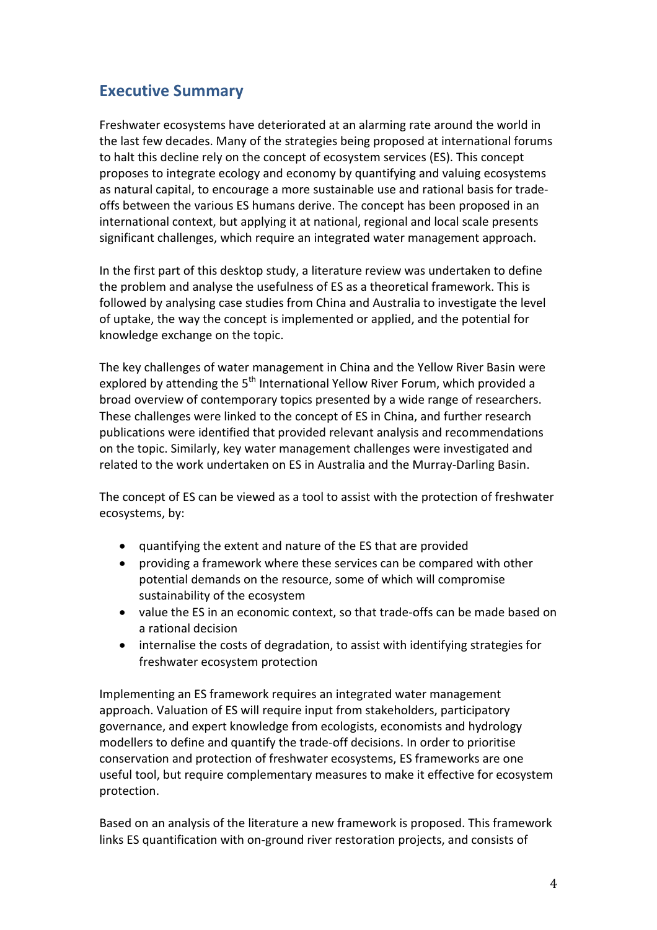# **Executive Summary**

Freshwater ecosystems have deteriorated at an alarming rate around the world in the last few decades. Many of the strategies being proposed at international forums to halt this decline rely on the concept of ecosystem services (ES). This concept proposes to integrate ecology and economy by quantifying and valuing ecosystems as natural capital, to encourage a more sustainable use and rational basis for tradeoffs between the various ES humans derive. The concept has been proposed in an international context, but applying it at national, regional and local scale presents significant challenges, which require an integrated water management approach.

In the first part of this desktop study, a literature review was undertaken to define the problem and analyse the usefulness of ES as a theoretical framework. This is followed by analysing case studies from China and Australia to investigate the level of uptake, the way the concept is implemented or applied, and the potential for knowledge exchange on the topic.

The key challenges of water management in China and the Yellow River Basin were explored by attending the  $5<sup>th</sup>$  International Yellow River Forum, which provided a broad overview of contemporary topics presented by a wide range of researchers. These challenges were linked to the concept of ES in China, and further research publications were identified that provided relevant analysis and recommendations on the topic. Similarly, key water management challenges were investigated and related to the work undertaken on ES in Australia and the Murray-Darling Basin.

The concept of ES can be viewed as a tool to assist with the protection of freshwater ecosystems, by:

- quantifying the extent and nature of the ES that are provided
- providing a framework where these services can be compared with other potential demands on the resource, some of which will compromise sustainability of the ecosystem
- value the ES in an economic context, so that trade-offs can be made based on a rational decision
- internalise the costs of degradation, to assist with identifying strategies for freshwater ecosystem protection

Implementing an ES framework requires an integrated water management approach. Valuation of ES will require input from stakeholders, participatory governance, and expert knowledge from ecologists, economists and hydrology modellers to define and quantify the trade-off decisions. In order to prioritise conservation and protection of freshwater ecosystems, ES frameworks are one useful tool, but require complementary measures to make it effective for ecosystem protection.

Based on an analysis of the literature a new framework is proposed. This framework links ES quantification with on-ground river restoration projects, and consists of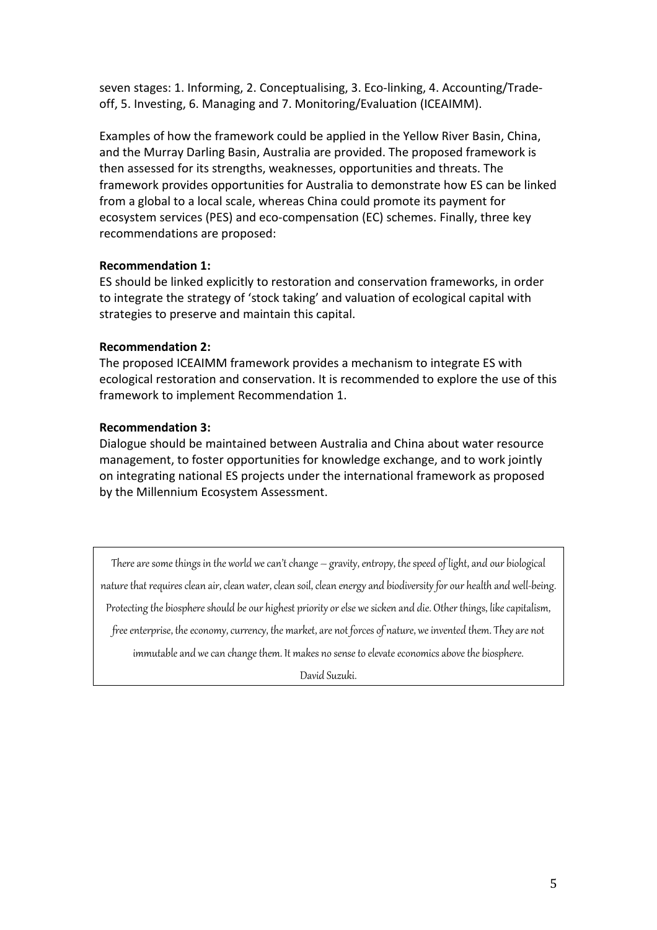seven stages: 1. Informing, 2. Conceptualising, 3. Eco-linking, 4. Accounting/Tradeoff, 5. Investing, 6. Managing and 7. Monitoring/Evaluation (ICEAIMM).

Examples of how the framework could be applied in the Yellow River Basin, China, and the Murray Darling Basin, Australia are provided. The proposed framework is then assessed for its strengths, weaknesses, opportunities and threats. The framework provides opportunities for Australia to demonstrate how ES can be linked from a global to a local scale, whereas China could promote its payment for ecosystem services (PES) and eco-compensation (EC) schemes. Finally, three key recommendations are proposed:

### **Recommendation 1:**

ES should be linked explicitly to restoration and conservation frameworks, in order to integrate the strategy of 'stock taking' and valuation of ecological capital with strategies to preserve and maintain this capital.

### **Recommendation 2:**

The proposed ICEAIMM framework provides a mechanism to integrate ES with ecological restoration and conservation. It is recommended to explore the use of this framework to implement Recommendation 1.

### **Recommendation 3:**

Dialogue should be maintained between Australia and China about water resource management, to foster opportunities for knowledge exchange, and to work jointly on integrating national ES projects under the international framework as proposed by the Millennium Ecosystem Assessment.

There are some things in the world we can't change  $-$  gravity, entropy, the speed of light, and our biological nature that requires clean air, clean water, clean soil, clean energy and biodiversity for our health and well-being. Protecting the biosphere should be our highest priority or else we sicken and die. Other things, like capitalism, free enterprise, the economy, currency, the market, are not forces of nature, we invented them. They are not immutable and we can change them. It makes no sense to elevate economics above the biosphere.

David Suzuki.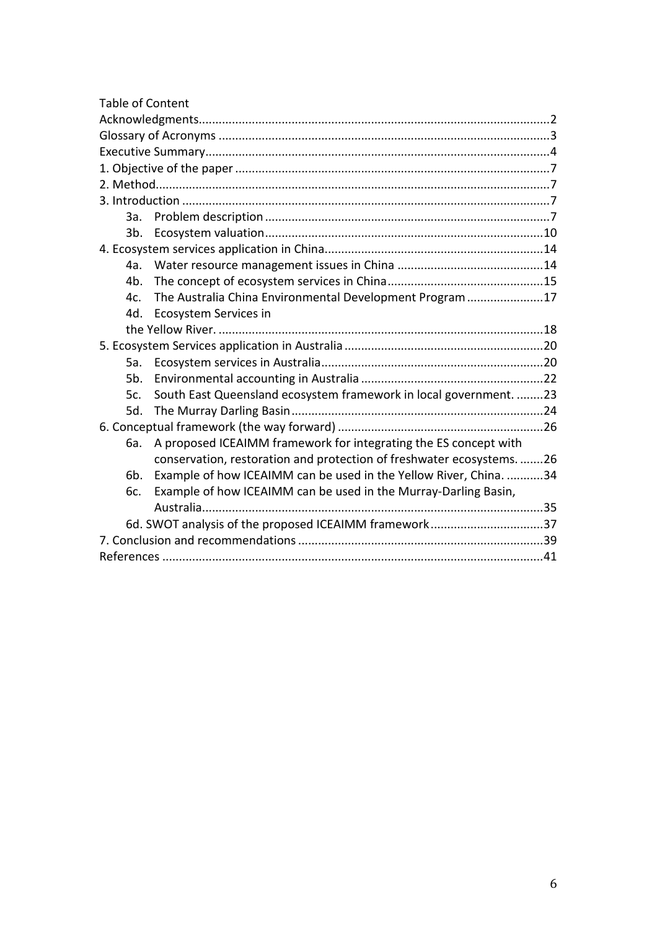| <b>Table of Content</b>                                                  |  |
|--------------------------------------------------------------------------|--|
|                                                                          |  |
|                                                                          |  |
|                                                                          |  |
|                                                                          |  |
|                                                                          |  |
|                                                                          |  |
| За.                                                                      |  |
| $3b$ .                                                                   |  |
|                                                                          |  |
| 4a.                                                                      |  |
| 4b.                                                                      |  |
| The Australia China Environmental Development Program17<br>4c.           |  |
| Ecosystem Services in<br>4d.                                             |  |
|                                                                          |  |
|                                                                          |  |
| 5а.                                                                      |  |
| 5b.                                                                      |  |
| South East Queensland ecosystem framework in local government. 23<br>5c. |  |
| 5d.                                                                      |  |
|                                                                          |  |
| A proposed ICEAIMM framework for integrating the ES concept with<br>6a.  |  |
| conservation, restoration and protection of freshwater ecosystems26      |  |
| Example of how ICEAIMM can be used in the Yellow River, China. 34<br>6b. |  |
| Example of how ICEAIMM can be used in the Murray-Darling Basin,<br>6c.   |  |
|                                                                          |  |
| 6d. SWOT analysis of the proposed ICEAIMM framework37                    |  |
|                                                                          |  |
|                                                                          |  |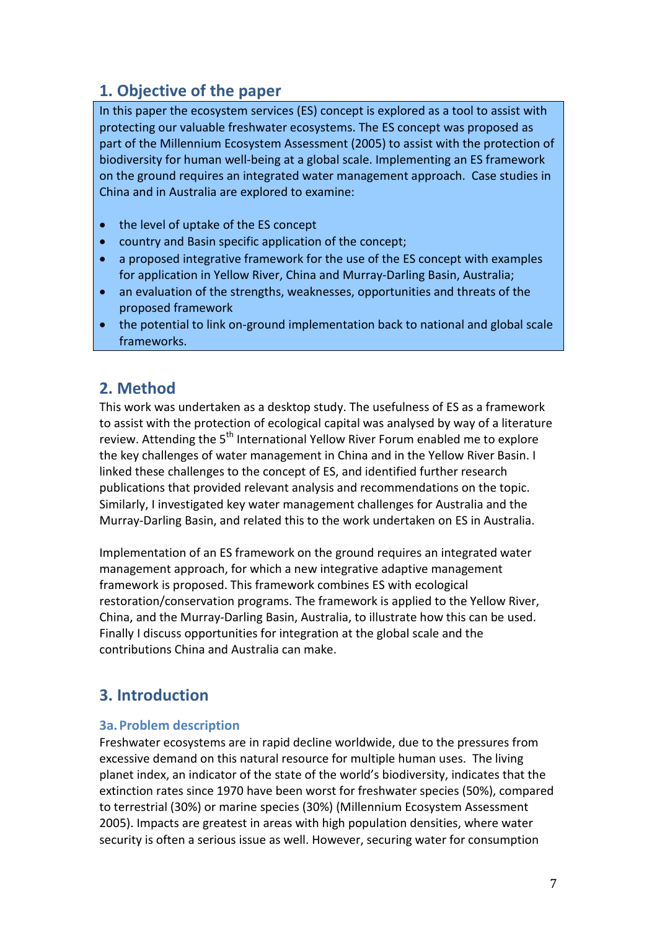# **1. Objective of the paper**

In this paper the ecosystem services (ES) concept is explored as a tool to assist with protecting our valuable freshwater ecosystems. The ES concept was proposed as part of the Millennium Ecosystem Assessment (2005) to assist with the protection of biodiversity for human well-being at a global scale. Implementing an ES framework on the ground requires an integrated water management approach. Case studies in China and in Australia are explored to examine:

- the level of uptake of the ES concept
- country and Basin specific application of the concept;
- a proposed integrative framework for the use of the ES concept with examples for application in Yellow River, China and Murray-Darling Basin, Australia;
- an evaluation of the strengths, weaknesses, opportunities and threats of the proposed framework
- the potential to link on-ground implementation back to national and global scale frameworks.

# **2. Method**

This work was undertaken as a desktop study. The usefulness of ES as a framework to assist with the protection of ecological capital was analysed by way of a literature review. Attending the 5<sup>th</sup> International Yellow River Forum enabled me to explore the key challenges of water management in China and in the Yellow River Basin. I linked these challenges to the concept of ES, and identified further research publications that provided relevant analysis and recommendations on the topic. Similarly, I investigated key water management challenges for Australia and the Murray-Darling Basin, and related this to the work undertaken on ES in Australia.

Implementation of an ES framework on the ground requires an integrated water management approach, for which a new integrative adaptive management framework is proposed. This framework combines ES with ecological restoration/conservation programs. The framework is applied to the Yellow River, China, and the Murray-Darling Basin, Australia, to illustrate how this can be used. Finally I discuss opportunities for integration at the global scale and the contributions China and Australia can make.

# **3. Introduction**

#### **3a.Problem description**

Freshwater ecosystems are in rapid decline worldwide, due to the pressures from excessive demand on this natural resource for multiple human uses. The living planet index, an indicator of the state of the world's biodiversity, indicates that the extinction rates since 1970 have been worst for freshwater species (50%), compared to terrestrial (30%) or marine species (30%) (Millennium Ecosystem Assessment 2005). Impacts are greatest in areas with high population densities, where water security is often a serious issue as well. However, securing water for consumption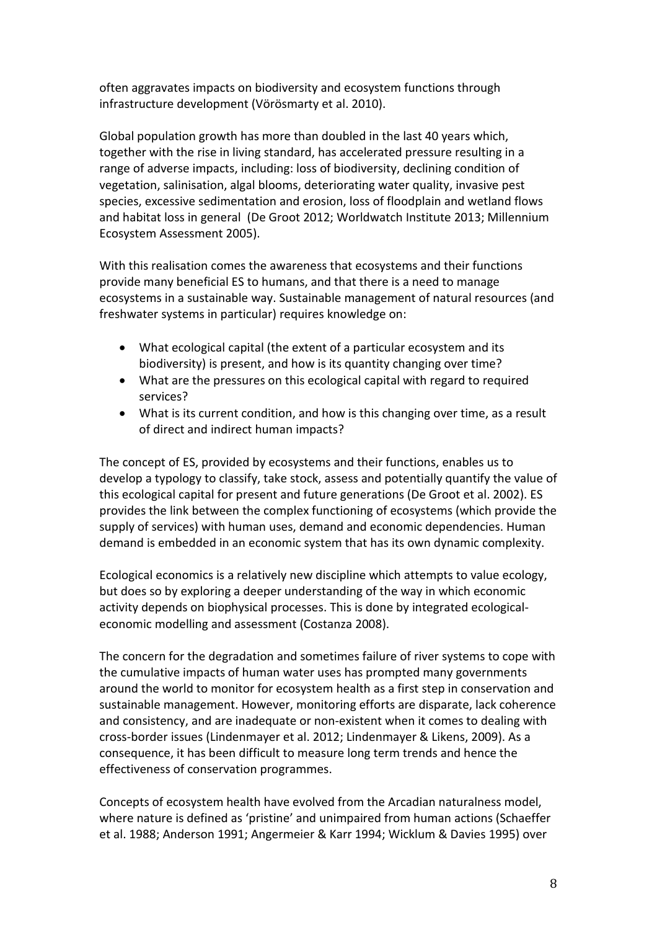often aggravates impacts on biodiversity and ecosystem functions through infrastructure development (Vörösmarty et al. 2010).

Global population growth has more than doubled in the last 40 years which, together with the rise in living standard, has accelerated pressure resulting in a range of adverse impacts, including: loss of biodiversity, declining condition of vegetation, salinisation, algal blooms, deteriorating water quality, invasive pest species, excessive sedimentation and erosion, loss of floodplain and wetland flows and habitat loss in general (De Groot 2012; Worldwatch Institute 2013; Millennium Ecosystem Assessment 2005).

With this realisation comes the awareness that ecosystems and their functions provide many beneficial ES to humans, and that there is a need to manage ecosystems in a sustainable way. Sustainable management of natural resources (and freshwater systems in particular) requires knowledge on:

- What ecological capital (the extent of a particular ecosystem and its biodiversity) is present, and how is its quantity changing over time?
- What are the pressures on this ecological capital with regard to required services?
- What is its current condition, and how is this changing over time, as a result of direct and indirect human impacts?

The concept of ES, provided by ecosystems and their functions, enables us to develop a typology to classify, take stock, assess and potentially quantify the value of this ecological capital for present and future generations (De Groot et al. 2002). ES provides the link between the complex functioning of ecosystems (which provide the supply of services) with human uses, demand and economic dependencies. Human demand is embedded in an economic system that has its own dynamic complexity.

Ecological economics is a relatively new discipline which attempts to value ecology, but does so by exploring a deeper understanding of the way in which economic activity depends on biophysical processes. This is done by integrated ecologicaleconomic modelling and assessment (Costanza 2008).

The concern for the degradation and sometimes failure of river systems to cope with the cumulative impacts of human water uses has prompted many governments around the world to monitor for ecosystem health as a first step in conservation and sustainable management. However, monitoring efforts are disparate, lack coherence and consistency, and are inadequate or non-existent when it comes to dealing with cross-border issues (Lindenmayer et al. 2012; Lindenmayer & Likens, 2009). As a consequence, it has been difficult to measure long term trends and hence the effectiveness of conservation programmes.

Concepts of ecosystem health have evolved from the Arcadian naturalness model, where nature is defined as 'pristine' and unimpaired from human actions (Schaeffer et al. 1988; Anderson 1991; Angermeier & Karr 1994; Wicklum & Davies 1995) over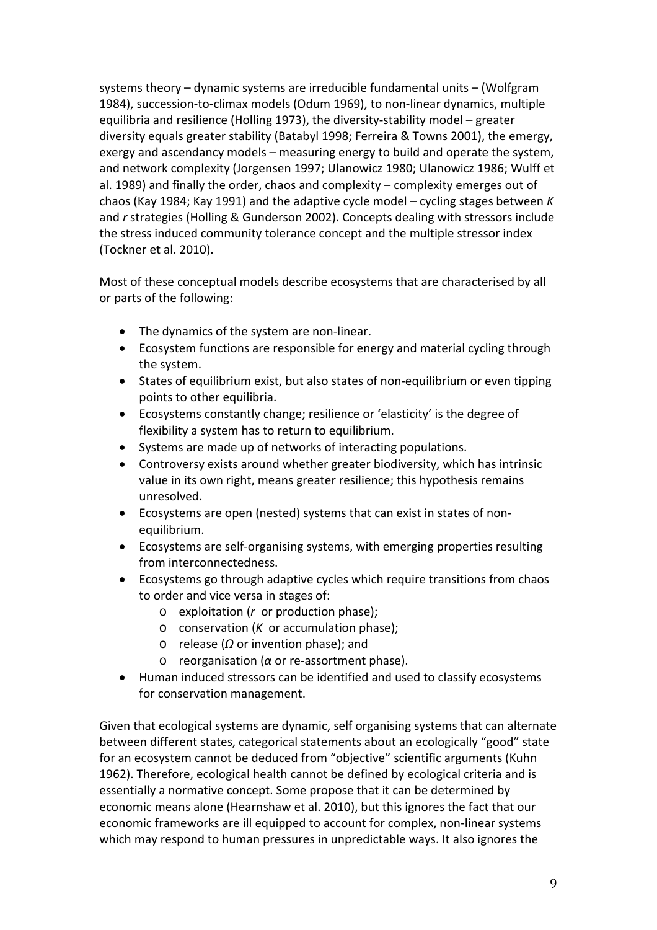systems theory – dynamic systems are irreducible fundamental units – (Wolfgram 1984), succession-to-climax models (Odum 1969), to non-linear dynamics, multiple equilibria and resilience (Holling 1973), the diversity-stability model – greater diversity equals greater stability (Batabyl 1998; Ferreira & Towns 2001), the emergy, exergy and ascendancy models – measuring energy to build and operate the system, and network complexity (Jorgensen 1997; Ulanowicz 1980; Ulanowicz 1986; Wulff et al. 1989) and finally the order, chaos and complexity – complexity emerges out of chaos (Kay 1984; Kay 1991) and the adaptive cycle model – cycling stages between *K* and *r* strategies (Holling & Gunderson 2002). Concepts dealing with stressors include the stress induced community tolerance concept and the multiple stressor index (Tockner et al. 2010).

Most of these conceptual models describe ecosystems that are characterised by all or parts of the following:

- The dynamics of the system are non-linear.
- Ecosystem functions are responsible for energy and material cycling through the system.
- States of equilibrium exist, but also states of non-equilibrium or even tipping points to other equilibria.
- Ecosystems constantly change; resilience or 'elasticity' is the degree of flexibility a system has to return to equilibrium.
- Systems are made up of networks of interacting populations.
- Controversy exists around whether greater biodiversity, which has intrinsic value in its own right, means greater resilience; this hypothesis remains unresolved.
- Ecosystems are open (nested) systems that can exist in states of nonequilibrium.
- Ecosystems are self-organising systems, with emerging properties resulting from interconnectedness.
- Ecosystems go through adaptive cycles which require transitions from chaos to order and vice versa in stages of:
	- o exploitation (*r* or production phase);
	- o conservation (*K* or accumulation phase);
	- o release (*Ω* or invention phase); and
	- o reorganisation (*α* or re-assortment phase).
- Human induced stressors can be identified and used to classify ecosystems for conservation management.

Given that ecological systems are dynamic, self organising systems that can alternate between different states, categorical statements about an ecologically "good" state for an ecosystem cannot be deduced from "objective" scientific arguments (Kuhn 1962). Therefore, ecological health cannot be defined by ecological criteria and is essentially a normative concept. Some propose that it can be determined by economic means alone (Hearnshaw et al. 2010), but this ignores the fact that our economic frameworks are ill equipped to account for complex, non-linear systems which may respond to human pressures in unpredictable ways. It also ignores the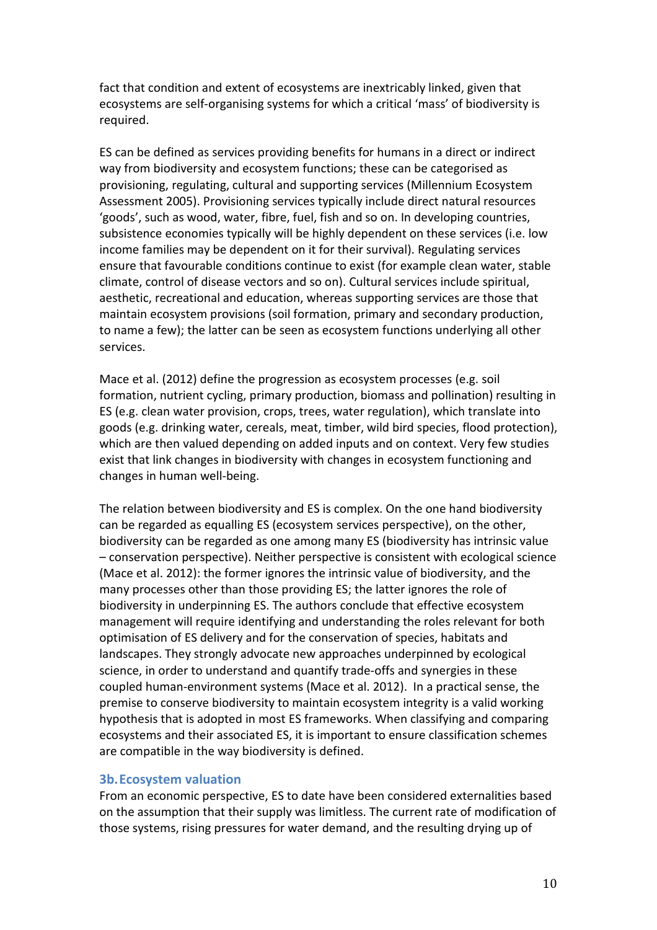fact that condition and extent of ecosystems are inextricably linked, given that ecosystems are self-organising systems for which a critical 'mass' of biodiversity is required.

ES can be defined as services providing benefits for humans in a direct or indirect way from biodiversity and ecosystem functions; these can be categorised as provisioning, regulating, cultural and supporting services (Millennium Ecosystem Assessment 2005). Provisioning services typically include direct natural resources 'goods', such as wood, water, fibre, fuel, fish and so on. In developing countries, subsistence economies typically will be highly dependent on these services (i.e. low income families may be dependent on it for their survival). Regulating services ensure that favourable conditions continue to exist (for example clean water, stable climate, control of disease vectors and so on). Cultural services include spiritual, aesthetic, recreational and education, whereas supporting services are those that maintain ecosystem provisions (soil formation, primary and secondary production, to name a few); the latter can be seen as ecosystem functions underlying all other services.

Mace et al. (2012) define the progression as ecosystem processes (e.g. soil formation, nutrient cycling, primary production, biomass and pollination) resulting in ES (e.g. clean water provision, crops, trees, water regulation), which translate into goods (e.g. drinking water, cereals, meat, timber, wild bird species, flood protection), which are then valued depending on added inputs and on context. Very few studies exist that link changes in biodiversity with changes in ecosystem functioning and changes in human well-being.

The relation between biodiversity and ES is complex. On the one hand biodiversity can be regarded as equalling ES (ecosystem services perspective), on the other, biodiversity can be regarded as one among many ES (biodiversity has intrinsic value – conservation perspective). Neither perspective is consistent with ecological science (Mace et al. 2012): the former ignores the intrinsic value of biodiversity, and the many processes other than those providing ES; the latter ignores the role of biodiversity in underpinning ES. The authors conclude that effective ecosystem management will require identifying and understanding the roles relevant for both optimisation of ES delivery and for the conservation of species, habitats and landscapes. They strongly advocate new approaches underpinned by ecological science, in order to understand and quantify trade-offs and synergies in these coupled human-environment systems (Mace et al. 2012). In a practical sense, the premise to conserve biodiversity to maintain ecosystem integrity is a valid working hypothesis that is adopted in most ES frameworks. When classifying and comparing ecosystems and their associated ES, it is important to ensure classification schemes are compatible in the way biodiversity is defined.

#### **3b.Ecosystem valuation**

From an economic perspective, ES to date have been considered externalities based on the assumption that their supply was limitless. The current rate of modification of those systems, rising pressures for water demand, and the resulting drying up of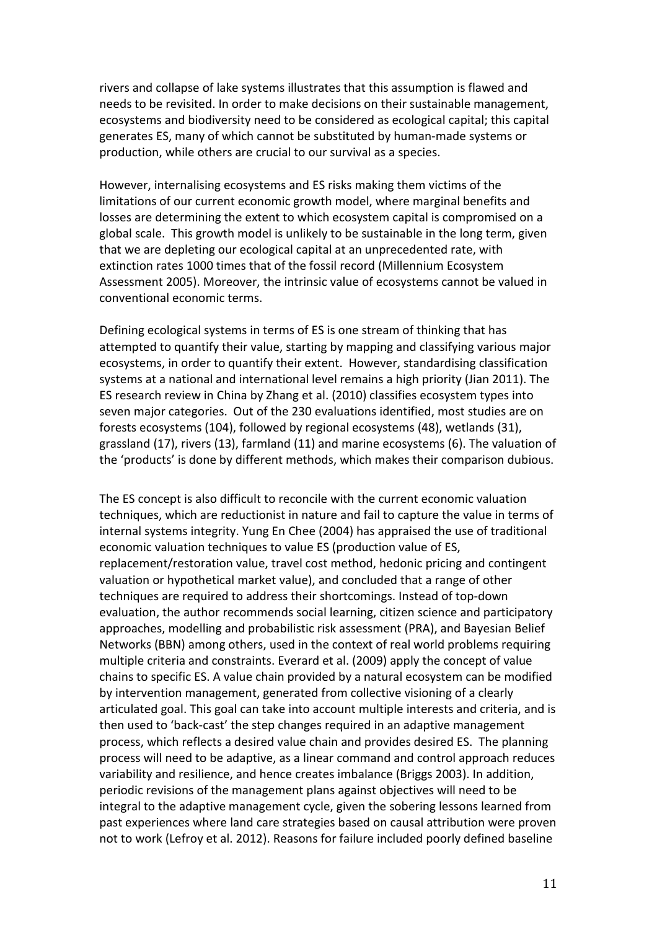rivers and collapse of lake systems illustrates that this assumption is flawed and needs to be revisited. In order to make decisions on their sustainable management, ecosystems and biodiversity need to be considered as ecological capital; this capital generates ES, many of which cannot be substituted by human-made systems or production, while others are crucial to our survival as a species.

However, internalising ecosystems and ES risks making them victims of the limitations of our current economic growth model, where marginal benefits and losses are determining the extent to which ecosystem capital is compromised on a global scale. This growth model is unlikely to be sustainable in the long term, given that we are depleting our ecological capital at an unprecedented rate, with extinction rates 1000 times that of the fossil record (Millennium Ecosystem Assessment 2005). Moreover, the intrinsic value of ecosystems cannot be valued in conventional economic terms.

Defining ecological systems in terms of ES is one stream of thinking that has attempted to quantify their value, starting by mapping and classifying various major ecosystems, in order to quantify their extent. However, standardising classification systems at a national and international level remains a high priority (Jian 2011). The ES research review in China by Zhang et al. (2010) classifies ecosystem types into seven major categories. Out of the 230 evaluations identified, most studies are on forests ecosystems (104), followed by regional ecosystems (48), wetlands (31), grassland (17), rivers (13), farmland (11) and marine ecosystems (6). The valuation of the 'products' is done by different methods, which makes their comparison dubious.

The ES concept is also difficult to reconcile with the current economic valuation techniques, which are reductionist in nature and fail to capture the value in terms of internal systems integrity. Yung En Chee (2004) has appraised the use of traditional economic valuation techniques to value ES (production value of ES, replacement/restoration value, travel cost method, hedonic pricing and contingent valuation or hypothetical market value), and concluded that a range of other techniques are required to address their shortcomings. Instead of top-down evaluation, the author recommends social learning, citizen science and participatory approaches, modelling and probabilistic risk assessment (PRA), and Bayesian Belief Networks (BBN) among others, used in the context of real world problems requiring multiple criteria and constraints. Everard et al. (2009) apply the concept of value chains to specific ES. A value chain provided by a natural ecosystem can be modified by intervention management, generated from collective visioning of a clearly articulated goal. This goal can take into account multiple interests and criteria, and is then used to 'back-cast' the step changes required in an adaptive management process, which reflects a desired value chain and provides desired ES. The planning process will need to be adaptive, as a linear command and control approach reduces variability and resilience, and hence creates imbalance (Briggs 2003). In addition, periodic revisions of the management plans against objectives will need to be integral to the adaptive management cycle, given the sobering lessons learned from past experiences where land care strategies based on causal attribution were proven not to work (Lefroy et al. 2012). Reasons for failure included poorly defined baseline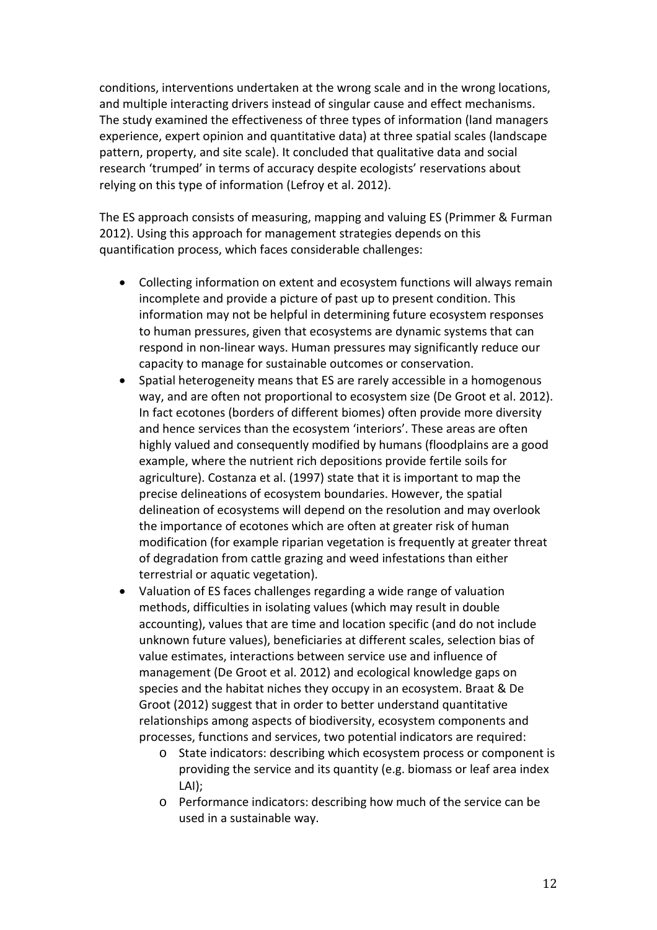conditions, interventions undertaken at the wrong scale and in the wrong locations, and multiple interacting drivers instead of singular cause and effect mechanisms. The study examined the effectiveness of three types of information (land managers experience, expert opinion and quantitative data) at three spatial scales (landscape pattern, property, and site scale). It concluded that qualitative data and social research 'trumped' in terms of accuracy despite ecologists' reservations about relying on this type of information (Lefroy et al. 2012).

The ES approach consists of measuring, mapping and valuing ES (Primmer & Furman 2012). Using this approach for management strategies depends on this quantification process, which faces considerable challenges:

- Collecting information on extent and ecosystem functions will always remain incomplete and provide a picture of past up to present condition. This information may not be helpful in determining future ecosystem responses to human pressures, given that ecosystems are dynamic systems that can respond in non-linear ways. Human pressures may significantly reduce our capacity to manage for sustainable outcomes or conservation.
- Spatial heterogeneity means that ES are rarely accessible in a homogenous way, and are often not proportional to ecosystem size (De Groot et al. 2012). In fact ecotones (borders of different biomes) often provide more diversity and hence services than the ecosystem 'interiors'. These areas are often highly valued and consequently modified by humans (floodplains are a good example, where the nutrient rich depositions provide fertile soils for agriculture). Costanza et al. (1997) state that it is important to map the precise delineations of ecosystem boundaries. However, the spatial delineation of ecosystems will depend on the resolution and may overlook the importance of ecotones which are often at greater risk of human modification (for example riparian vegetation is frequently at greater threat of degradation from cattle grazing and weed infestations than either terrestrial or aquatic vegetation).
- Valuation of ES faces challenges regarding a wide range of valuation methods, difficulties in isolating values (which may result in double accounting), values that are time and location specific (and do not include unknown future values), beneficiaries at different scales, selection bias of value estimates, interactions between service use and influence of management (De Groot et al. 2012) and ecological knowledge gaps on species and the habitat niches they occupy in an ecosystem. Braat & De Groot (2012) suggest that in order to better understand quantitative relationships among aspects of biodiversity, ecosystem components and processes, functions and services, two potential indicators are required:
	- o State indicators: describing which ecosystem process or component is providing the service and its quantity (e.g. biomass or leaf area index LAI);
	- o Performance indicators: describing how much of the service can be used in a sustainable way.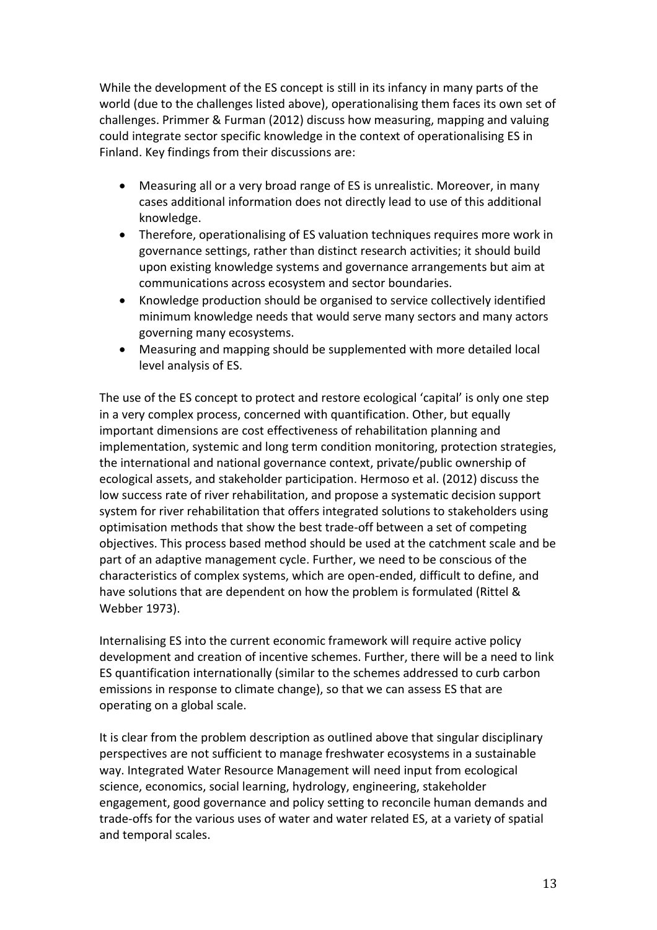While the development of the ES concept is still in its infancy in many parts of the world (due to the challenges listed above), operationalising them faces its own set of challenges. Primmer & Furman (2012) discuss how measuring, mapping and valuing could integrate sector specific knowledge in the context of operationalising ES in Finland. Key findings from their discussions are:

- Measuring all or a very broad range of ES is unrealistic. Moreover, in many cases additional information does not directly lead to use of this additional knowledge.
- Therefore, operationalising of ES valuation techniques requires more work in governance settings, rather than distinct research activities; it should build upon existing knowledge systems and governance arrangements but aim at communications across ecosystem and sector boundaries.
- Knowledge production should be organised to service collectively identified minimum knowledge needs that would serve many sectors and many actors governing many ecosystems.
- Measuring and mapping should be supplemented with more detailed local level analysis of ES.

The use of the ES concept to protect and restore ecological 'capital' is only one step in a very complex process, concerned with quantification. Other, but equally important dimensions are cost effectiveness of rehabilitation planning and implementation, systemic and long term condition monitoring, protection strategies, the international and national governance context, private/public ownership of ecological assets, and stakeholder participation. Hermoso et al. (2012) discuss the low success rate of river rehabilitation, and propose a systematic decision support system for river rehabilitation that offers integrated solutions to stakeholders using optimisation methods that show the best trade-off between a set of competing objectives. This process based method should be used at the catchment scale and be part of an adaptive management cycle. Further, we need to be conscious of the characteristics of complex systems, which are open-ended, difficult to define, and have solutions that are dependent on how the problem is formulated (Rittel & Webber 1973).

Internalising ES into the current economic framework will require active policy development and creation of incentive schemes. Further, there will be a need to link ES quantification internationally (similar to the schemes addressed to curb carbon emissions in response to climate change), so that we can assess ES that are operating on a global scale.

It is clear from the problem description as outlined above that singular disciplinary perspectives are not sufficient to manage freshwater ecosystems in a sustainable way. Integrated Water Resource Management will need input from ecological science, economics, social learning, hydrology, engineering, stakeholder engagement, good governance and policy setting to reconcile human demands and trade-offs for the various uses of water and water related ES, at a variety of spatial and temporal scales.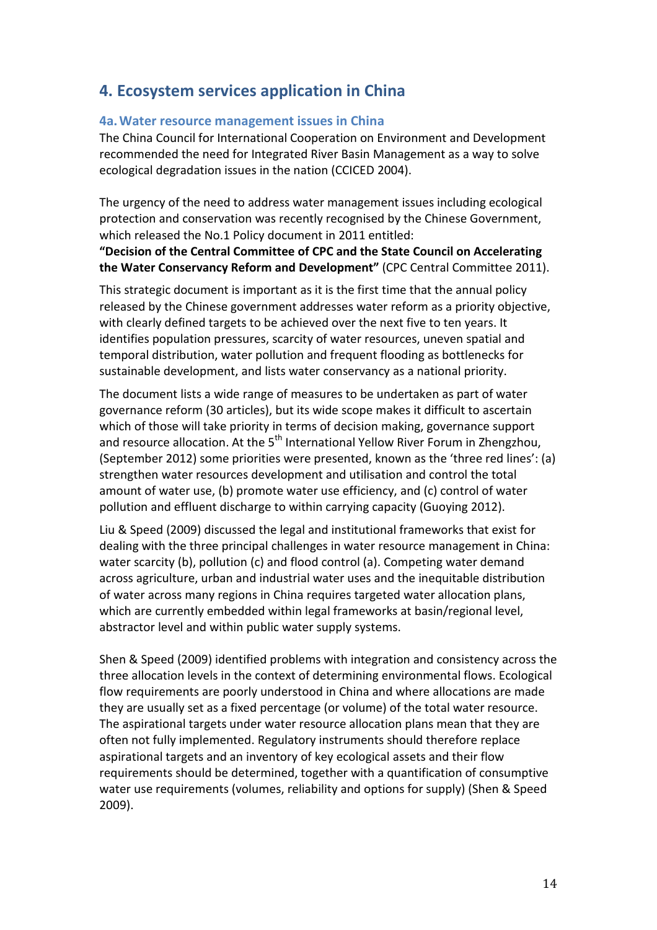# **4. Ecosystem services application in China**

#### **4a.Water resource management issues in China**

The China Council for International Cooperation on Environment and Development recommended the need for Integrated River Basin Management as a way to solve ecological degradation issues in the nation (CCICED 2004).

The urgency of the need to address water management issues including ecological protection and conservation was recently recognised by the Chinese Government, which released the No.1 Policy document in 2011 entitled:

**"Decision of the Central Committee of CPC and the State Council on Accelerating the Water Conservancy Reform and Development"** (CPC Central Committee 2011).

This strategic document is important as it is the first time that the annual policy released by the Chinese government addresses water reform as a priority objective, with clearly defined targets to be achieved over the next five to ten years. It identifies population pressures, scarcity of water resources, uneven spatial and temporal distribution, water pollution and frequent flooding as bottlenecks for sustainable development, and lists water conservancy as a national priority.

The document lists a wide range of measures to be undertaken as part of water governance reform (30 articles), but its wide scope makes it difficult to ascertain which of those will take priority in terms of decision making, governance support and resource allocation. At the 5<sup>th</sup> International Yellow River Forum in Zhengzhou, (September 2012) some priorities were presented, known as the 'three red lines': (a) strengthen water resources development and utilisation and control the total amount of water use, (b) promote water use efficiency, and (c) control of water pollution and effluent discharge to within carrying capacity (Guoying 2012).

Liu & Speed (2009) discussed the legal and institutional frameworks that exist for dealing with the three principal challenges in water resource management in China: water scarcity (b), pollution (c) and flood control (a). Competing water demand across agriculture, urban and industrial water uses and the inequitable distribution of water across many regions in China requires targeted water allocation plans, which are currently embedded within legal frameworks at basin/regional level, abstractor level and within public water supply systems.

Shen & Speed (2009) identified problems with integration and consistency across the three allocation levels in the context of determining environmental flows. Ecological flow requirements are poorly understood in China and where allocations are made they are usually set as a fixed percentage (or volume) of the total water resource. The aspirational targets under water resource allocation plans mean that they are often not fully implemented. Regulatory instruments should therefore replace aspirational targets and an inventory of key ecological assets and their flow requirements should be determined, together with a quantification of consumptive water use requirements (volumes, reliability and options for supply) (Shen & Speed 2009).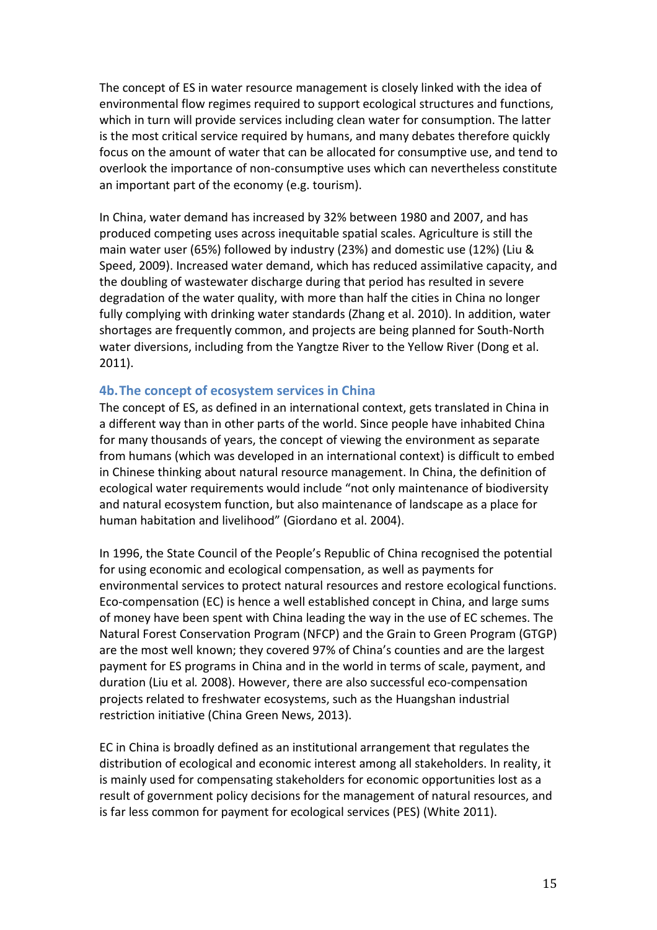The concept of ES in water resource management is closely linked with the idea of environmental flow regimes required to support ecological structures and functions, which in turn will provide services including clean water for consumption. The latter is the most critical service required by humans, and many debates therefore quickly focus on the amount of water that can be allocated for consumptive use, and tend to overlook the importance of non-consumptive uses which can nevertheless constitute an important part of the economy (e.g. tourism).

In China, water demand has increased by 32% between 1980 and 2007, and has produced competing uses across inequitable spatial scales. Agriculture is still the main water user (65%) followed by industry (23%) and domestic use (12%) (Liu & Speed, 2009). Increased water demand, which has reduced assimilative capacity, and the doubling of wastewater discharge during that period has resulted in severe degradation of the water quality, with more than half the cities in China no longer fully complying with drinking water standards (Zhang et al. 2010). In addition, water shortages are frequently common, and projects are being planned for South-North water diversions, including from the Yangtze River to the Yellow River (Dong et al. 2011).

### **4b.The concept of ecosystem services in China**

The concept of ES, as defined in an international context, gets translated in China in a different way than in other parts of the world. Since people have inhabited China for many thousands of years, the concept of viewing the environment as separate from humans (which was developed in an international context) is difficult to embed in Chinese thinking about natural resource management. In China, the definition of ecological water requirements would include "not only maintenance of biodiversity and natural ecosystem function, but also maintenance of landscape as a place for human habitation and livelihood" (Giordano et al. 2004).

In 1996, the State Council of the People's Republic of China recognised the potential for using economic and ecological compensation, as well as payments for environmental services to protect natural resources and restore ecological functions. Eco-compensation (EC) is hence a well established concept in China, and large sums of money have been spent with China leading the way in the use of EC schemes. The Natural Forest Conservation Program (NFCP) and the Grain to Green Program (GTGP) are the most well known; they covered 97% of China's counties and are the largest payment for ES programs in China and in the world in terms of scale, payment, and duration (Liu et al*.* 2008). However, there are also successful eco-compensation projects related to freshwater ecosystems, such as the Huangshan industrial restriction initiative (China Green News, 2013).

EC in China is broadly defined as an institutional arrangement that regulates the distribution of ecological and economic interest among all stakeholders. In reality, it is mainly used for compensating stakeholders for economic opportunities lost as a result of government policy decisions for the management of natural resources, and is far less common for payment for ecological services (PES) (White 2011).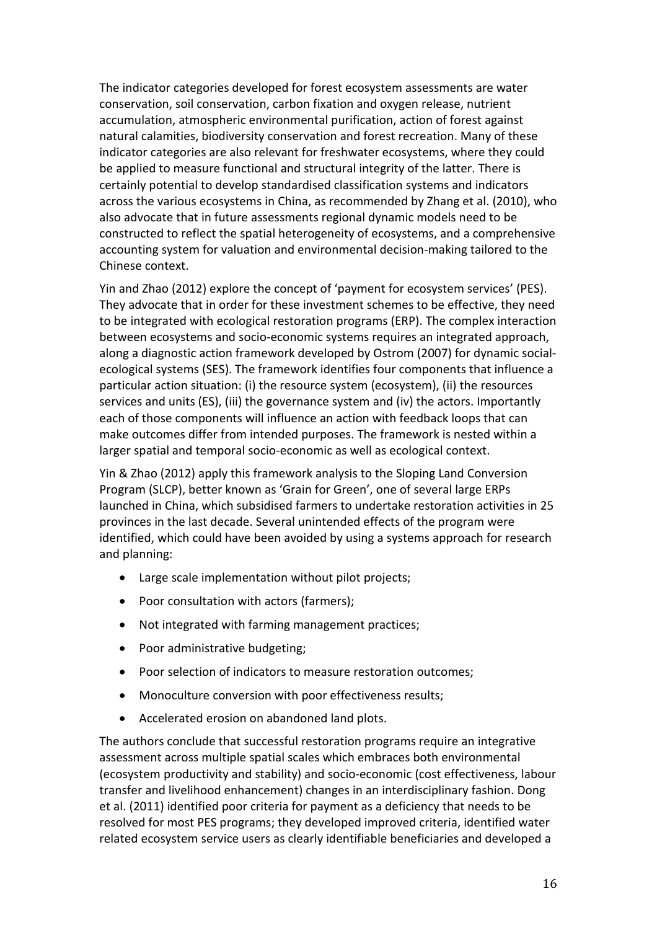The indicator categories developed for forest ecosystem assessments are water conservation, soil conservation, carbon fixation and oxygen release, nutrient accumulation, atmospheric environmental purification, action of forest against natural calamities, biodiversity conservation and forest recreation. Many of these indicator categories are also relevant for freshwater ecosystems, where they could be applied to measure functional and structural integrity of the latter. There is certainly potential to develop standardised classification systems and indicators across the various ecosystems in China, as recommended by Zhang et al. (2010), who also advocate that in future assessments regional dynamic models need to be constructed to reflect the spatial heterogeneity of ecosystems, and a comprehensive accounting system for valuation and environmental decision-making tailored to the Chinese context.

Yin and Zhao (2012) explore the concept of 'payment for ecosystem services' (PES). They advocate that in order for these investment schemes to be effective, they need to be integrated with ecological restoration programs (ERP). The complex interaction between ecosystems and socio-economic systems requires an integrated approach, along a diagnostic action framework developed by Ostrom (2007) for dynamic socialecological systems (SES). The framework identifies four components that influence a particular action situation: (i) the resource system (ecosystem), (ii) the resources services and units (ES), (iii) the governance system and (iv) the actors. Importantly each of those components will influence an action with feedback loops that can make outcomes differ from intended purposes. The framework is nested within a larger spatial and temporal socio-economic as well as ecological context.

Yin & Zhao (2012) apply this framework analysis to the Sloping Land Conversion Program (SLCP), better known as 'Grain for Green', one of several large ERPs launched in China, which subsidised farmers to undertake restoration activities in 25 provinces in the last decade. Several unintended effects of the program were identified, which could have been avoided by using a systems approach for research and planning:

- Large scale implementation without pilot projects;
- Poor consultation with actors (farmers);
- Not integrated with farming management practices;
- Poor administrative budgeting;
- Poor selection of indicators to measure restoration outcomes;
- Monoculture conversion with poor effectiveness results;
- Accelerated erosion on abandoned land plots.

The authors conclude that successful restoration programs require an integrative assessment across multiple spatial scales which embraces both environmental (ecosystem productivity and stability) and socio-economic (cost effectiveness, labour transfer and livelihood enhancement) changes in an interdisciplinary fashion. Dong et al. (2011) identified poor criteria for payment as a deficiency that needs to be resolved for most PES programs; they developed improved criteria, identified water related ecosystem service users as clearly identifiable beneficiaries and developed a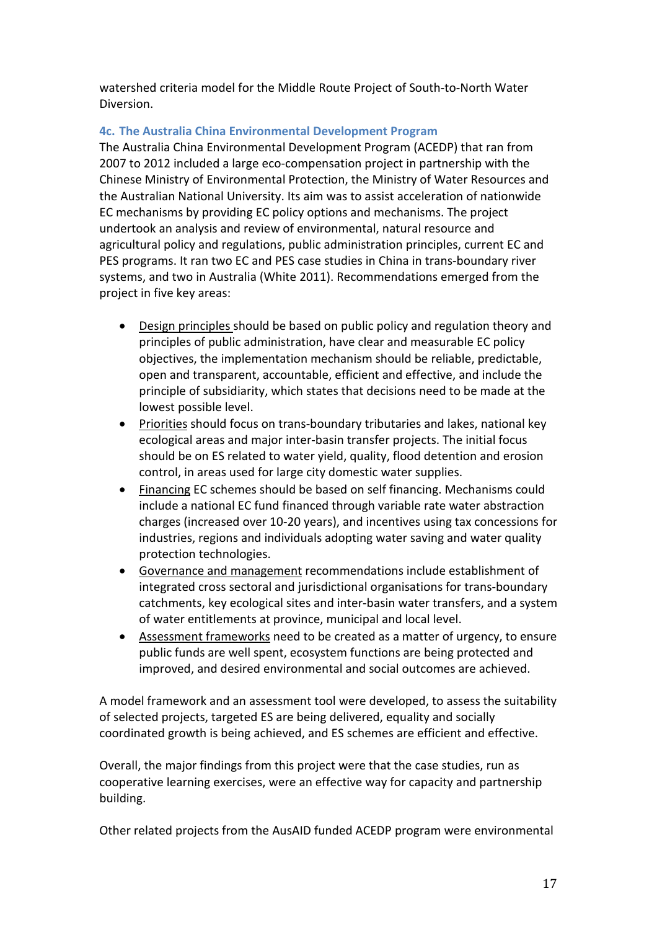watershed criteria model for the Middle Route Project of South-to-North Water Diversion.

# **4c. The Australia China Environmental Development Program**

The Australia China Environmental Development Program (ACEDP) that ran from 2007 to 2012 included a large eco-compensation project in partnership with the Chinese Ministry of Environmental Protection, the Ministry of Water Resources and the Australian National University. Its aim was to assist acceleration of nationwide EC mechanisms by providing EC policy options and mechanisms. The project undertook an analysis and review of environmental, natural resource and agricultural policy and regulations, public administration principles, current EC and PES programs. It ran two EC and PES case studies in China in trans-boundary river systems, and two in Australia (White 2011). Recommendations emerged from the project in five key areas:

- Design principles should be based on public policy and regulation theory and principles of public administration, have clear and measurable EC policy objectives, the implementation mechanism should be reliable, predictable, open and transparent, accountable, efficient and effective, and include the principle of subsidiarity, which states that decisions need to be made at the lowest possible level.
- $\bullet$ Priorities should focus on trans-boundary tributaries and lakes, national key ecological areas and major inter-basin transfer projects. The initial focus should be on ES related to water yield, quality, flood detention and erosion control, in areas used for large city domestic water supplies.
- Financing EC schemes should be based on self financing. Mechanisms could include a national EC fund financed through variable rate water abstraction charges (increased over 10-20 years), and incentives using tax concessions for industries, regions and individuals adopting water saving and water quality protection technologies.
- Governance and management recommendations include establishment of integrated cross sectoral and jurisdictional organisations for trans-boundary catchments, key ecological sites and inter-basin water transfers, and a system of water entitlements at province, municipal and local level.
- Assessment frameworks need to be created as a matter of urgency, to ensure public funds are well spent, ecosystem functions are being protected and improved, and desired environmental and social outcomes are achieved.

A model framework and an assessment tool were developed, to assess the suitability of selected projects, targeted ES are being delivered, equality and socially coordinated growth is being achieved, and ES schemes are efficient and effective.

Overall, the major findings from this project were that the case studies, run as cooperative learning exercises, were an effective way for capacity and partnership building.

Other related projects from the AusAID funded ACEDP program were environmental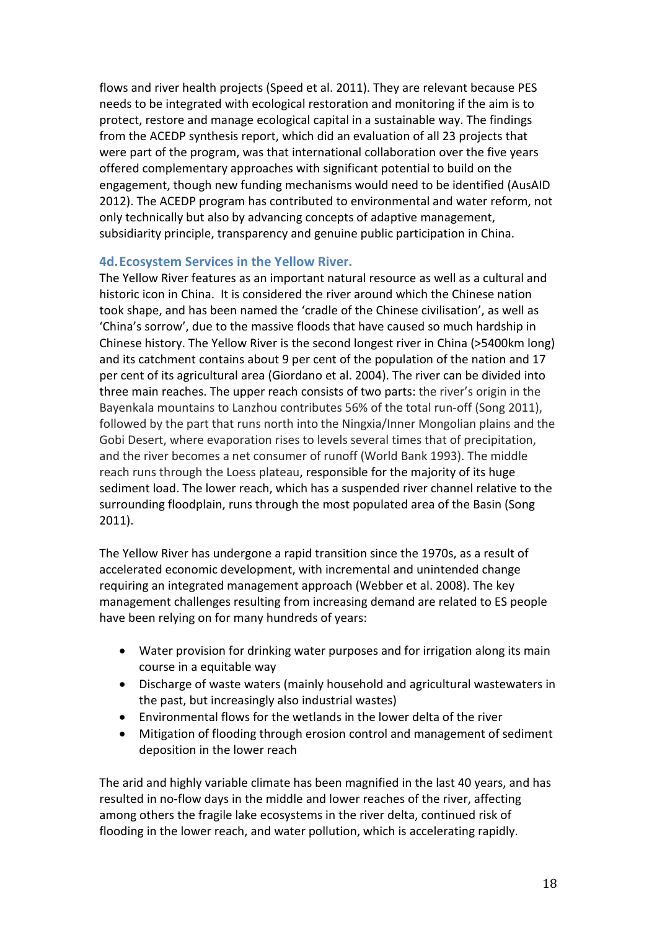flows and river health projects (Speed et al. 2011). They are relevant because PES needs to be integrated with ecological restoration and monitoring if the aim is to protect, restore and manage ecological capital in a sustainable way. The findings from the ACEDP synthesis report, which did an evaluation of all 23 projects that were part of the program, was that international collaboration over the five years offered complementary approaches with significant potential to build on the engagement, though new funding mechanisms would need to be identified (AusAID 2012). The ACEDP program has contributed to environmental and water reform, not only technically but also by advancing concepts of adaptive management, subsidiarity principle, transparency and genuine public participation in China.

### **4d.Ecosystem Services in the Yellow River.**

The Yellow River features as an important natural resource as well as a cultural and historic icon in China. It is considered the river around which the Chinese nation took shape, and has been named the 'cradle of the Chinese civilisation', as well as 'China's sorrow', due to the massive floods that have caused so much hardship in Chinese history. The Yellow River is the second longest river in China (>5400km long) and its catchment contains about 9 per cent of the population of the nation and 17 per cent of its agricultural area (Giordano et al. 2004). The river can be divided into three main reaches. The upper reach consists of two parts: the river's origin in the Bayenkala mountains to Lanzhou contributes 56% of the total run-off (Song 2011), followed by the part that runs north into the Ningxia/Inner Mongolian plains and the Gobi Desert, where evaporation rises to levels several times that of precipitation, and the river becomes a net consumer of runoff (World Bank 1993). The middle reach runs through the Loess plateau, responsible for the majority of its huge sediment load. The lower reach, which has a suspended river channel relative to the surrounding floodplain, runs through the most populated area of the Basin (Song 2011).

The Yellow River has undergone a rapid transition since the 1970s, as a result of accelerated economic development, with incremental and unintended change requiring an integrated management approach (Webber et al. 2008). The key management challenges resulting from increasing demand are related to ES people have been relying on for many hundreds of years:

- Water provision for drinking water purposes and for irrigation along its main course in a equitable way
- Discharge of waste waters (mainly household and agricultural wastewaters in the past, but increasingly also industrial wastes)
- Environmental flows for the wetlands in the lower delta of the river
- Mitigation of flooding through erosion control and management of sediment deposition in the lower reach

The arid and highly variable climate has been magnified in the last 40 years, and has resulted in no-flow days in the middle and lower reaches of the river, affecting among others the fragile lake ecosystems in the river delta, continued risk of flooding in the lower reach, and water pollution, which is accelerating rapidly.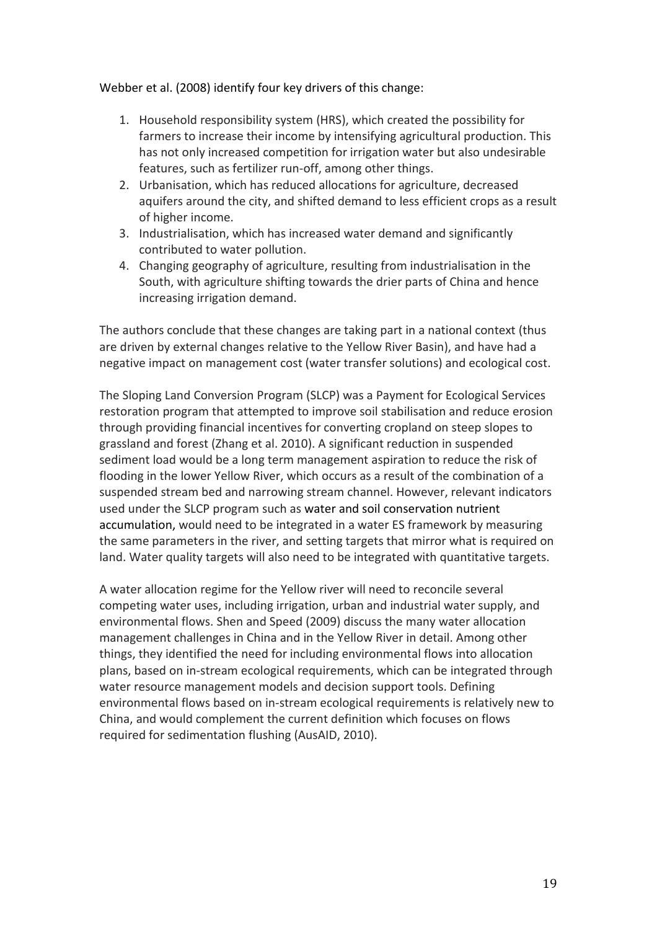### Webber et al. (2008) identify four key drivers of this change:

- 1. Household responsibility system (HRS), which created the possibility for farmers to increase their income by intensifying agricultural production. This has not only increased competition for irrigation water but also undesirable features, such as fertilizer run-off, among other things.
- 2. Urbanisation, which has reduced allocations for agriculture, decreased aquifers around the city, and shifted demand to less efficient crops as a result of higher income.
- 3. Industrialisation, which has increased water demand and significantly contributed to water pollution.
- 4. Changing geography of agriculture, resulting from industrialisation in the South, with agriculture shifting towards the drier parts of China and hence increasing irrigation demand.

The authors conclude that these changes are taking part in a national context (thus are driven by external changes relative to the Yellow River Basin), and have had a negative impact on management cost (water transfer solutions) and ecological cost.

The Sloping Land Conversion Program (SLCP) was a Payment for Ecological Services restoration program that attempted to improve soil stabilisation and reduce erosion through providing financial incentives for converting cropland on steep slopes to grassland and forest (Zhang et al. 2010). A significant reduction in suspended sediment load would be a long term management aspiration to reduce the risk of flooding in the lower Yellow River, which occurs as a result of the combination of a suspended stream bed and narrowing stream channel. However, relevant indicators used under the SLCP program such as water and soil conservation nutrient accumulation, would need to be integrated in a water ES framework by measuring the same parameters in the river, and setting targets that mirror what is required on land. Water quality targets will also need to be integrated with quantitative targets.

A water allocation regime for the Yellow river will need to reconcile several competing water uses, including irrigation, urban and industrial water supply, and environmental flows. Shen and Speed (2009) discuss the many water allocation management challenges in China and in the Yellow River in detail. Among other things, they identified the need for including environmental flows into allocation plans, based on in-stream ecological requirements, which can be integrated through water resource management models and decision support tools. Defining environmental flows based on in-stream ecological requirements is relatively new to China, and would complement the current definition which focuses on flows required for sedimentation flushing (AusAID, 2010).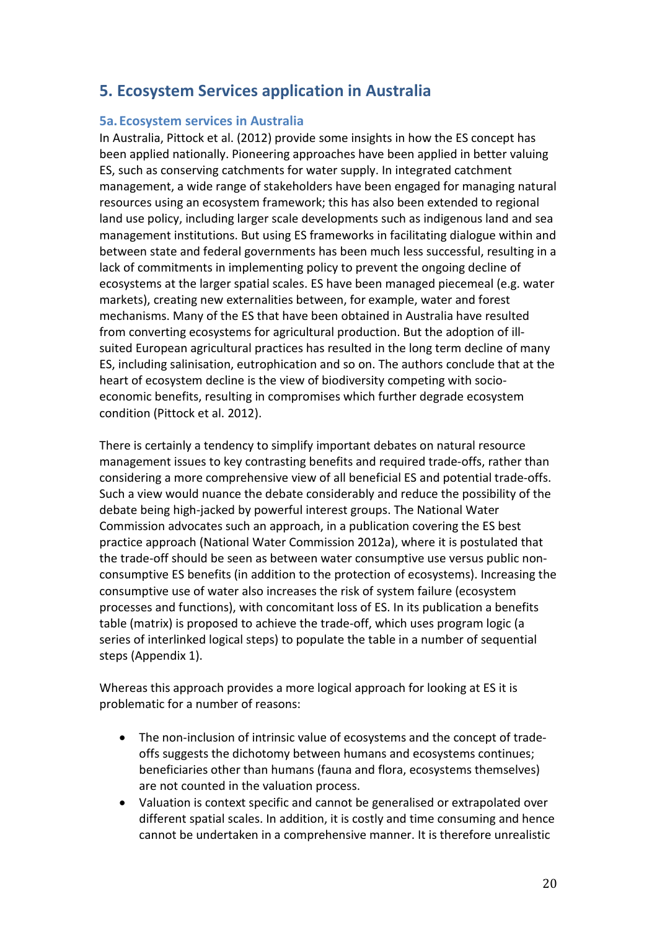# **5. Ecosystem Services application in Australia**

### **5a. Ecosystem services in Australia**

In Australia, Pittock et al. (2012) provide some insights in how the ES concept has been applied nationally. Pioneering approaches have been applied in better valuing ES, such as conserving catchments for water supply. In integrated catchment management, a wide range of stakeholders have been engaged for managing natural resources using an ecosystem framework; this has also been extended to regional land use policy, including larger scale developments such as indigenous land and sea management institutions. But using ES frameworks in facilitating dialogue within and between state and federal governments has been much less successful, resulting in a lack of commitments in implementing policy to prevent the ongoing decline of ecosystems at the larger spatial scales. ES have been managed piecemeal (e.g. water markets), creating new externalities between, for example, water and forest mechanisms. Many of the ES that have been obtained in Australia have resulted from converting ecosystems for agricultural production. But the adoption of illsuited European agricultural practices has resulted in the long term decline of many ES, including salinisation, eutrophication and so on. The authors conclude that at the heart of ecosystem decline is the view of biodiversity competing with socioeconomic benefits, resulting in compromises which further degrade ecosystem condition (Pittock et al. 2012).

There is certainly a tendency to simplify important debates on natural resource management issues to key contrasting benefits and required trade-offs, rather than considering a more comprehensive view of all beneficial ES and potential trade-offs. Such a view would nuance the debate considerably and reduce the possibility of the debate being high-jacked by powerful interest groups. The National Water Commission advocates such an approach, in a publication covering the ES best practice approach (National Water Commission 2012a), where it is postulated that the trade-off should be seen as between water consumptive use versus public nonconsumptive ES benefits (in addition to the protection of ecosystems). Increasing the consumptive use of water also increases the risk of system failure (ecosystem processes and functions), with concomitant loss of ES. In its publication a benefits table (matrix) is proposed to achieve the trade-off, which uses program logic (a series of interlinked logical steps) to populate the table in a number of sequential steps (Appendix 1).

Whereas this approach provides a more logical approach for looking at ES it is problematic for a number of reasons:

- The non-inclusion of intrinsic value of ecosystems and the concept of tradeoffs suggests the dichotomy between humans and ecosystems continues; beneficiaries other than humans (fauna and flora, ecosystems themselves) are not counted in the valuation process.
- Valuation is context specific and cannot be generalised or extrapolated over different spatial scales. In addition, it is costly and time consuming and hence cannot be undertaken in a comprehensive manner. It is therefore unrealistic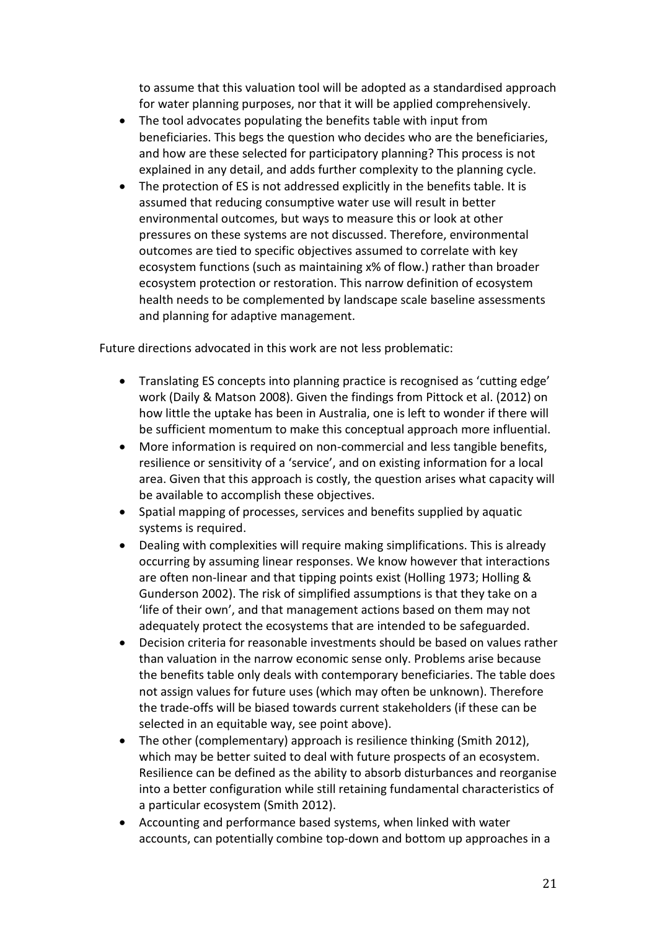to assume that this valuation tool will be adopted as a standardised approach for water planning purposes, nor that it will be applied comprehensively.

- The tool advocates populating the benefits table with input from beneficiaries. This begs the question who decides who are the beneficiaries, and how are these selected for participatory planning? This process is not explained in any detail, and adds further complexity to the planning cycle.
- The protection of ES is not addressed explicitly in the benefits table. It is assumed that reducing consumptive water use will result in better environmental outcomes, but ways to measure this or look at other pressures on these systems are not discussed. Therefore, environmental outcomes are tied to specific objectives assumed to correlate with key ecosystem functions (such as maintaining x% of flow.) rather than broader ecosystem protection or restoration. This narrow definition of ecosystem health needs to be complemented by landscape scale baseline assessments and planning for adaptive management.

Future directions advocated in this work are not less problematic:

- Translating ES concepts into planning practice is recognised as 'cutting edge' work (Daily & Matson 2008). Given the findings from Pittock et al. (2012) on how little the uptake has been in Australia, one is left to wonder if there will be sufficient momentum to make this conceptual approach more influential.
- More information is required on non-commercial and less tangible benefits, resilience or sensitivity of a 'service', and on existing information for a local area. Given that this approach is costly, the question arises what capacity will be available to accomplish these objectives.
- Spatial mapping of processes, services and benefits supplied by aquatic systems is required.
- Dealing with complexities will require making simplifications. This is already occurring by assuming linear responses. We know however that interactions are often non-linear and that tipping points exist (Holling 1973; Holling & Gunderson 2002). The risk of simplified assumptions is that they take on a 'life of their own', and that management actions based on them may not adequately protect the ecosystems that are intended to be safeguarded.
- Decision criteria for reasonable investments should be based on values rather than valuation in the narrow economic sense only. Problems arise because the benefits table only deals with contemporary beneficiaries. The table does not assign values for future uses (which may often be unknown). Therefore the trade-offs will be biased towards current stakeholders (if these can be selected in an equitable way, see point above).
- The other (complementary) approach is resilience thinking (Smith 2012), which may be better suited to deal with future prospects of an ecosystem. Resilience can be defined as the ability to absorb disturbances and reorganise into a better configuration while still retaining fundamental characteristics of a particular ecosystem (Smith 2012).
- Accounting and performance based systems, when linked with water accounts, can potentially combine top-down and bottom up approaches in a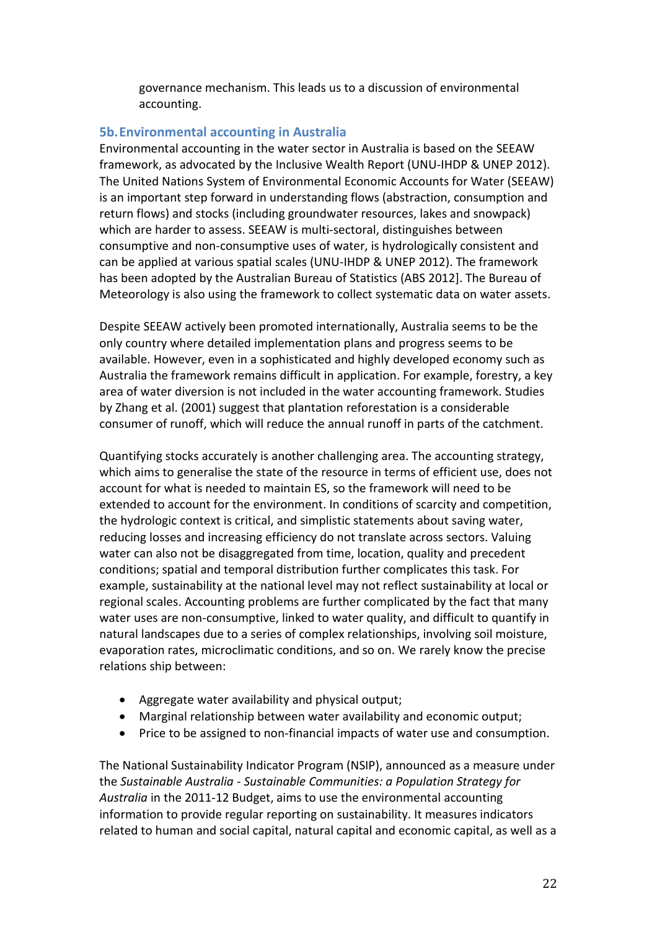governance mechanism. This leads us to a discussion of environmental accounting.

# **5b.Environmental accounting in Australia**

Environmental accounting in the water sector in Australia is based on the SEEAW framework, as advocated by the Inclusive Wealth Report (UNU-IHDP & UNEP 2012). The United Nations System of Environmental Economic Accounts for Water (SEEAW) is an important step forward in understanding flows (abstraction, consumption and return flows) and stocks (including groundwater resources, lakes and snowpack) which are harder to assess. SEEAW is multi-sectoral, distinguishes between consumptive and non-consumptive uses of water, is hydrologically consistent and can be applied at various spatial scales (UNU-IHDP & UNEP 2012). The framework has been adopted by the Australian Bureau of Statistics (ABS 2012]. The Bureau of Meteorology is also using the framework to collect systematic data on water assets.

Despite SEEAW actively been promoted internationally, Australia seems to be the only country where detailed implementation plans and progress seems to be available. However, even in a sophisticated and highly developed economy such as Australia the framework remains difficult in application. For example, forestry, a key area of water diversion is not included in the water accounting framework. Studies by Zhang et al. (2001) suggest that plantation reforestation is a considerable consumer of runoff, which will reduce the annual runoff in parts of the catchment.

Quantifying stocks accurately is another challenging area. The accounting strategy, which aims to generalise the state of the resource in terms of efficient use, does not account for what is needed to maintain ES, so the framework will need to be extended to account for the environment. In conditions of scarcity and competition, the hydrologic context is critical, and simplistic statements about saving water, reducing losses and increasing efficiency do not translate across sectors. Valuing water can also not be disaggregated from time, location, quality and precedent conditions; spatial and temporal distribution further complicates this task. For example, sustainability at the national level may not reflect sustainability at local or regional scales. Accounting problems are further complicated by the fact that many water uses are non-consumptive, linked to water quality, and difficult to quantify in natural landscapes due to a series of complex relationships, involving soil moisture, evaporation rates, microclimatic conditions, and so on. We rarely know the precise relations ship between:

- Aggregate water availability and physical output;
- Marginal relationship between water availability and economic output;
- Price to be assigned to non-financial impacts of water use and consumption.

The National Sustainability Indicator Program (NSIP), announced as a measure under the *Sustainable Australia - Sustainable Communities: a Population Strategy for Australia* in the 2011-12 Budget, aims to use the environmental accounting information to provide regular reporting on sustainability. It measures indicators related to human and social capital, natural capital and economic capital, as well as a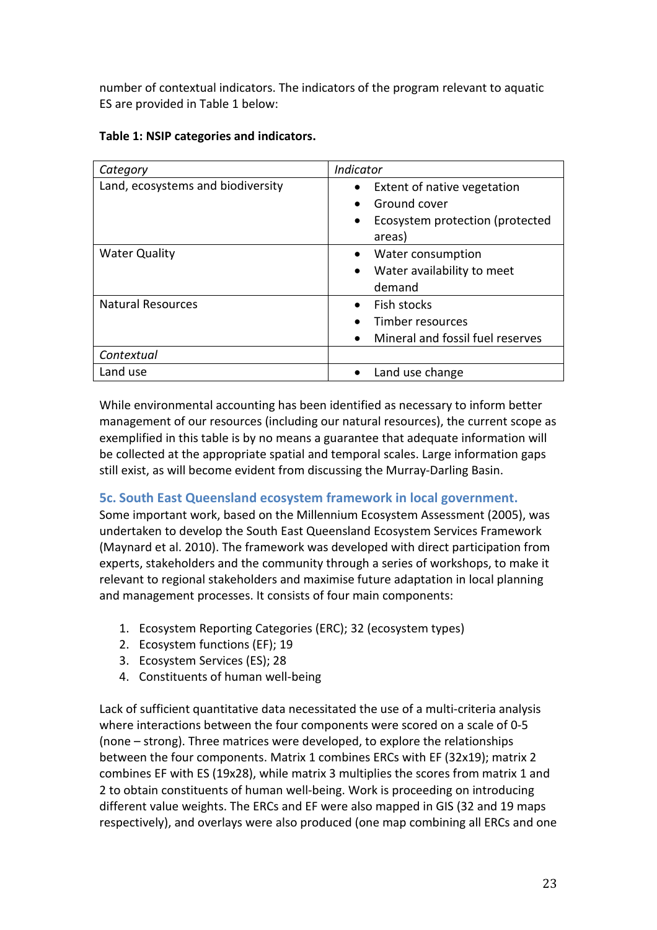number of contextual indicators. The indicators of the program relevant to aquatic ES are provided in Table 1 below:

|  |  |  |  |  | Table 1: NSIP categories and indicators. |
|--|--|--|--|--|------------------------------------------|
|--|--|--|--|--|------------------------------------------|

| Category                          | <b>Indicator</b>                 |
|-----------------------------------|----------------------------------|
| Land, ecosystems and biodiversity | Extent of native vegetation      |
|                                   | Ground cover                     |
|                                   | Ecosystem protection (protected  |
|                                   | areas)                           |
| <b>Water Quality</b>              | Water consumption                |
|                                   | Water availability to meet       |
|                                   | demand                           |
| <b>Natural Resources</b>          | Fish stocks                      |
|                                   | Timber resources                 |
|                                   | Mineral and fossil fuel reserves |
| Contextual                        |                                  |
| Land use                          | Land use change                  |

While environmental accounting has been identified as necessary to inform better management of our resources (including our natural resources), the current scope as exemplified in this table is by no means a guarantee that adequate information will be collected at the appropriate spatial and temporal scales. Large information gaps still exist, as will become evident from discussing the Murray-Darling Basin.

# **5c. South East Queensland ecosystem framework in local government.**

Some important work, based on the Millennium Ecosystem Assessment (2005), was undertaken to develop the South East Queensland Ecosystem Services Framework (Maynard et al. 2010). The framework was developed with direct participation from experts, stakeholders and the community through a series of workshops, to make it relevant to regional stakeholders and maximise future adaptation in local planning and management processes. It consists of four main components:

- 1. Ecosystem Reporting Categories (ERC); 32 (ecosystem types)
- 2. Ecosystem functions (EF); 19
- 3. Ecosystem Services (ES); 28
- 4. Constituents of human well-being

Lack of sufficient quantitative data necessitated the use of a multi-criteria analysis where interactions between the four components were scored on a scale of 0-5 (none – strong). Three matrices were developed, to explore the relationships between the four components. Matrix 1 combines ERCs with EF (32x19); matrix 2 combines EF with ES (19x28), while matrix 3 multiplies the scores from matrix 1 and 2 to obtain constituents of human well-being. Work is proceeding on introducing different value weights. The ERCs and EF were also mapped in GIS (32 and 19 maps respectively), and overlays were also produced (one map combining all ERCs and one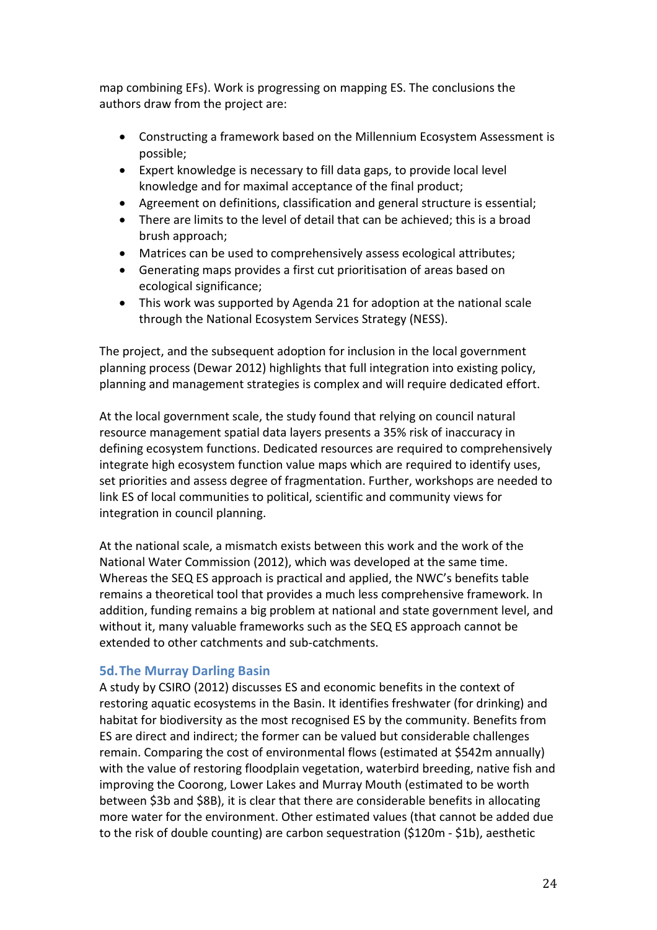map combining EFs). Work is progressing on mapping ES. The conclusions the authors draw from the project are:

- Constructing a framework based on the Millennium Ecosystem Assessment is possible;
- Expert knowledge is necessary to fill data gaps, to provide local level knowledge and for maximal acceptance of the final product;
- Agreement on definitions, classification and general structure is essential;
- There are limits to the level of detail that can be achieved; this is a broad brush approach;
- Matrices can be used to comprehensively assess ecological attributes;
- Generating maps provides a first cut prioritisation of areas based on ecological significance;
- This work was supported by Agenda 21 for adoption at the national scale through the National Ecosystem Services Strategy (NESS).

The project, and the subsequent adoption for inclusion in the local government planning process (Dewar 2012) highlights that full integration into existing policy, planning and management strategies is complex and will require dedicated effort.

At the local government scale, the study found that relying on council natural resource management spatial data layers presents a 35% risk of inaccuracy in defining ecosystem functions. Dedicated resources are required to comprehensively integrate high ecosystem function value maps which are required to identify uses, set priorities and assess degree of fragmentation. Further, workshops are needed to link ES of local communities to political, scientific and community views for integration in council planning.

At the national scale, a mismatch exists between this work and the work of the National Water Commission (2012), which was developed at the same time. Whereas the SEQ ES approach is practical and applied, the NWC's benefits table remains a theoretical tool that provides a much less comprehensive framework. In addition, funding remains a big problem at national and state government level, and without it, many valuable frameworks such as the SEQ ES approach cannot be extended to other catchments and sub-catchments.

# **5d.The Murray Darling Basin**

A study by CSIRO (2012) discusses ES and economic benefits in the context of restoring aquatic ecosystems in the Basin. It identifies freshwater (for drinking) and habitat for biodiversity as the most recognised ES by the community. Benefits from ES are direct and indirect; the former can be valued but considerable challenges remain. Comparing the cost of environmental flows (estimated at \$542m annually) with the value of restoring floodplain vegetation, waterbird breeding, native fish and improving the Coorong, Lower Lakes and Murray Mouth (estimated to be worth between \$3b and \$8B), it is clear that there are considerable benefits in allocating more water for the environment. Other estimated values (that cannot be added due to the risk of double counting) are carbon sequestration (\$120m - \$1b), aesthetic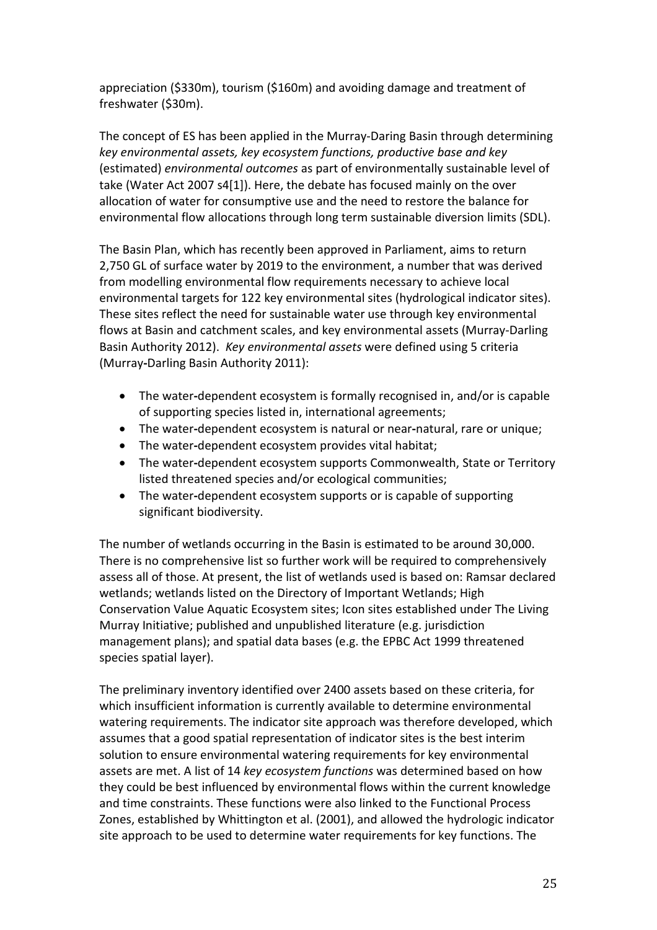appreciation (\$330m), tourism (\$160m) and avoiding damage and treatment of freshwater (\$30m).

The concept of ES has been applied in the Murray-Daring Basin through determining *key environmental assets, key ecosystem functions, productive base and key*  (estimated) *environmental outcomes* as part of environmentally sustainable level of take (Water Act 2007 s4[1]). Here, the debate has focused mainly on the over allocation of water for consumptive use and the need to restore the balance for environmental flow allocations through long term sustainable diversion limits (SDL).

The Basin Plan, which has recently been approved in Parliament, aims to return 2,750 GL of surface water by 2019 to the environment, a number that was derived from modelling environmental flow requirements necessary to achieve local environmental targets for 122 key environmental sites (hydrological indicator sites). These sites reflect the need for sustainable water use through key environmental flows at Basin and catchment scales, and key environmental assets (Murray-Darling Basin Authority 2012). *Key environmental assets* were defined using 5 criteria (Murray**-**Darling Basin Authority 2011):

- The water**-**dependent ecosystem is formally recognised in, and/or is capable of supporting species listed in, international agreements;
- The water**-**dependent ecosystem is natural or near**-**natural, rare or unique;
- The water**-**dependent ecosystem provides vital habitat;
- The water**-**dependent ecosystem supports Commonwealth, State or Territory listed threatened species and/or ecological communities;
- The water**-**dependent ecosystem supports or is capable of supporting significant biodiversity.

The number of wetlands occurring in the Basin is estimated to be around 30,000. There is no comprehensive list so further work will be required to comprehensively assess all of those. At present, the list of wetlands used is based on: Ramsar declared wetlands; wetlands listed on the Directory of Important Wetlands; High Conservation Value Aquatic Ecosystem sites; Icon sites established under The Living Murray Initiative; published and unpublished literature (e.g. jurisdiction management plans); and spatial data bases (e.g. the EPBC Act 1999 threatened species spatial layer).

The preliminary inventory identified over 2400 assets based on these criteria, for which insufficient information is currently available to determine environmental watering requirements. The indicator site approach was therefore developed, which assumes that a good spatial representation of indicator sites is the best interim solution to ensure environmental watering requirements for key environmental assets are met. A list of 14 *key ecosystem functions* was determined based on how they could be best influenced by environmental flows within the current knowledge and time constraints. These functions were also linked to the Functional Process Zones, established by Whittington et al. (2001), and allowed the hydrologic indicator site approach to be used to determine water requirements for key functions. The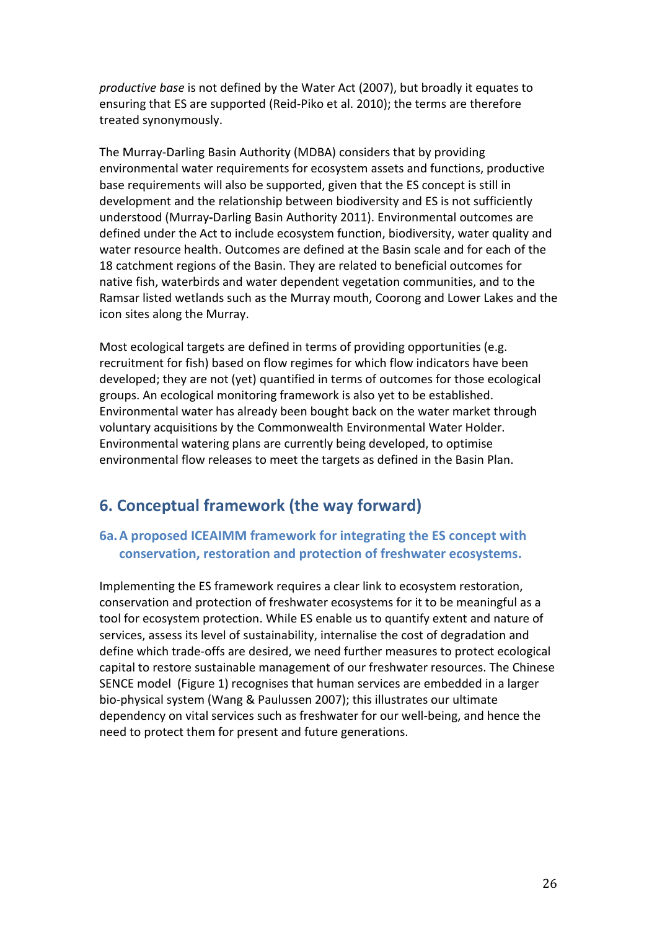*productive base* is not defined by the Water Act (2007), but broadly it equates to ensuring that ES are supported (Reid-Piko et al. 2010); the terms are therefore treated synonymously.

The Murray-Darling Basin Authority (MDBA) considers that by providing environmental water requirements for ecosystem assets and functions, productive base requirements will also be supported, given that the ES concept is still in development and the relationship between biodiversity and ES is not sufficiently understood (Murray**-**Darling Basin Authority 2011). Environmental outcomes are defined under the Act to include ecosystem function, biodiversity, water quality and water resource health. Outcomes are defined at the Basin scale and for each of the 18 catchment regions of the Basin. They are related to beneficial outcomes for native fish, waterbirds and water dependent vegetation communities, and to the Ramsar listed wetlands such as the Murray mouth, Coorong and Lower Lakes and the icon sites along the Murray.

Most ecological targets are defined in terms of providing opportunities (e.g. recruitment for fish) based on flow regimes for which flow indicators have been developed; they are not (yet) quantified in terms of outcomes for those ecological groups. An ecological monitoring framework is also yet to be established. Environmental water has already been bought back on the water market through voluntary acquisitions by the Commonwealth Environmental Water Holder. Environmental watering plans are currently being developed, to optimise environmental flow releases to meet the targets as defined in the Basin Plan.

# **6. Conceptual framework (the way forward)**

# **6a.A proposed ICEAIMM framework for integrating the ES concept with conservation, restoration and protection of freshwater ecosystems.**

Implementing the ES framework requires a clear link to ecosystem restoration, conservation and protection of freshwater ecosystems for it to be meaningful as a tool for ecosystem protection. While ES enable us to quantify extent and nature of services, assess its level of sustainability, internalise the cost of degradation and define which trade-offs are desired, we need further measures to protect ecological capital to restore sustainable management of our freshwater resources. The Chinese SENCE model (Figure 1) recognises that human services are embedded in a larger bio-physical system (Wang & Paulussen 2007); this illustrates our ultimate dependency on vital services such as freshwater for our well-being, and hence the need to protect them for present and future generations.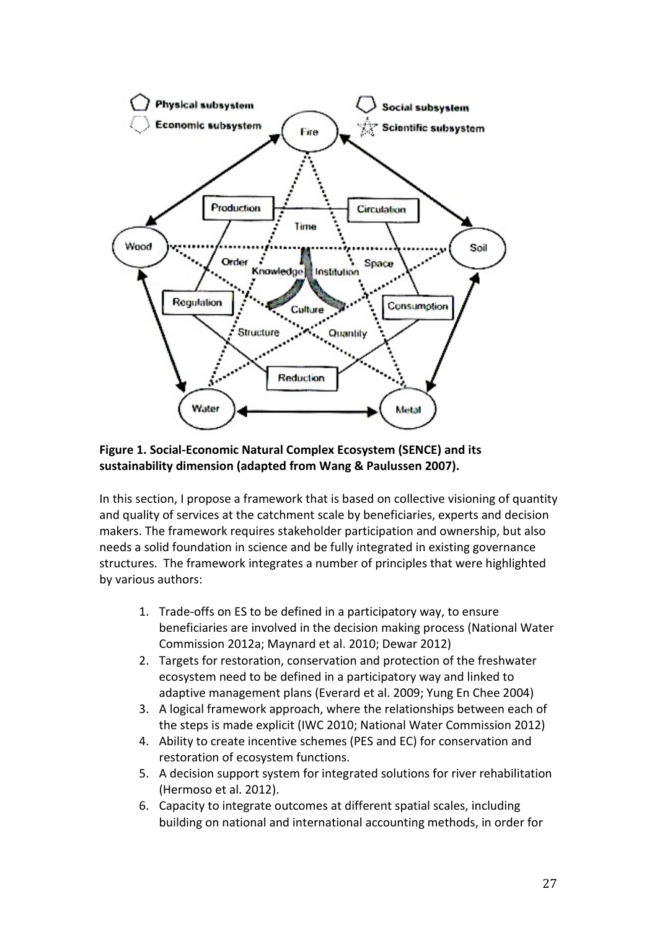

#### **Figure 1. Social-Economic Natural Complex Ecosystem (SENCE) and its sustainability dimension (adapted from Wang & Paulussen 2007).**

In this section, I propose a framework that is based on collective visioning of quantity and quality of services at the catchment scale by beneficiaries, experts and decision makers. The framework requires stakeholder participation and ownership, but also needs a solid foundation in science and be fully integrated in existing governance structures. The framework integrates a number of principles that were highlighted by various authors:

- 1. Trade-offs on ES to be defined in a participatory way, to ensure beneficiaries are involved in the decision making process (National Water Commission 2012a; Maynard et al. 2010; Dewar 2012)
- 2. Targets for restoration, conservation and protection of the freshwater ecosystem need to be defined in a participatory way and linked to adaptive management plans (Everard et al. 2009; Yung En Chee 2004)
- 3. A logical framework approach, where the relationships between each of the steps is made explicit (IWC 2010; National Water Commission 2012)
- 4. Ability to create incentive schemes (PES and EC) for conservation and restoration of ecosystem functions.
- 5. A decision support system for integrated solutions for river rehabilitation (Hermoso et al. 2012).
- 6. Capacity to integrate outcomes at different spatial scales, including building on national and international accounting methods, in order for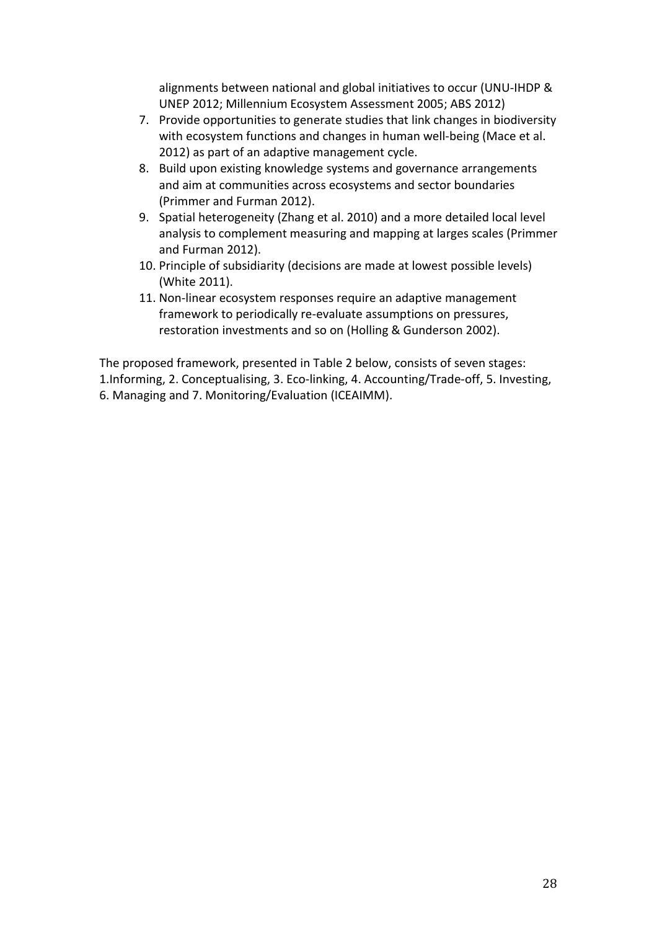alignments between national and global initiatives to occur (UNU-IHDP & UNEP 2012; Millennium Ecosystem Assessment 2005; ABS 2012)

- 7. Provide opportunities to generate studies that link changes in biodiversity with ecosystem functions and changes in human well-being (Mace et al. 2012) as part of an adaptive management cycle.
- 8. Build upon existing knowledge systems and governance arrangements and aim at communities across ecosystems and sector boundaries (Primmer and Furman 2012).
- 9. Spatial heterogeneity (Zhang et al. 2010) and a more detailed local level analysis to complement measuring and mapping at larges scales (Primmer and Furman 2012).
- 10. Principle of subsidiarity (decisions are made at lowest possible levels) (White 2011).
- 11. Non-linear ecosystem responses require an adaptive management framework to periodically re-evaluate assumptions on pressures, restoration investments and so on (Holling & Gunderson 2002).

The proposed framework, presented in Table 2 below, consists of seven stages: 1.Informing, 2. Conceptualising, 3. Eco-linking, 4. Accounting/Trade-off, 5. Investing, 6. Managing and 7. Monitoring/Evaluation (ICEAIMM).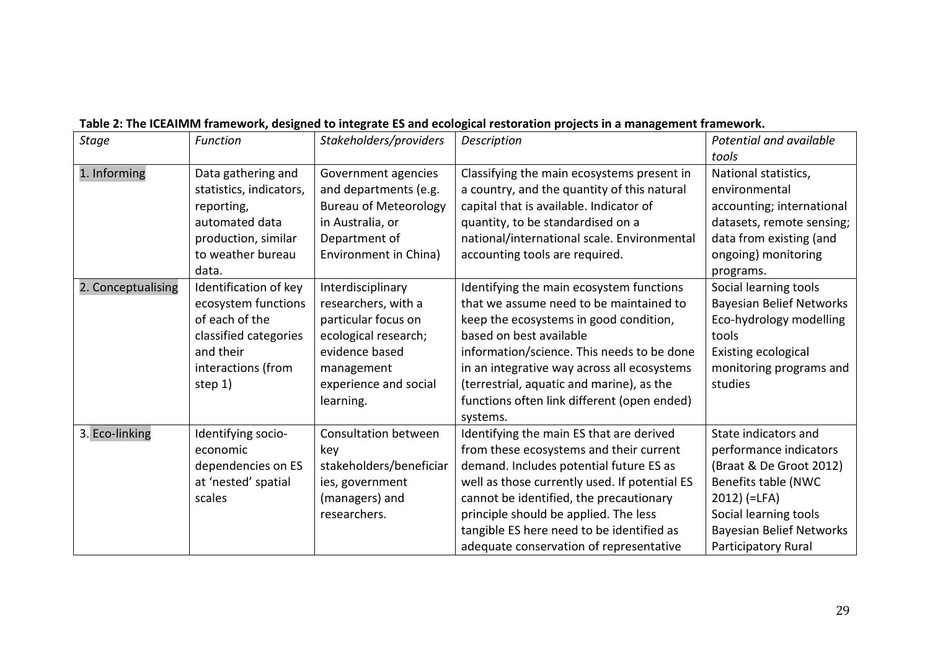| <b>Stage</b>       | <b>Function</b>         | Stakeholders/providers       | Description                                   | Potential and available         |
|--------------------|-------------------------|------------------------------|-----------------------------------------------|---------------------------------|
|                    |                         |                              |                                               | tools                           |
| 1. Informing       | Data gathering and      | Government agencies          | Classifying the main ecosystems present in    | National statistics,            |
|                    | statistics, indicators, | and departments (e.g.        | a country, and the quantity of this natural   | environmental                   |
|                    | reporting,              | <b>Bureau of Meteorology</b> | capital that is available. Indicator of       | accounting; international       |
|                    | automated data          | in Australia, or             | quantity, to be standardised on a             | datasets, remote sensing;       |
|                    | production, similar     | Department of                | national/international scale. Environmental   | data from existing (and         |
|                    | to weather bureau       | Environment in China)        | accounting tools are required.                | ongoing) monitoring             |
|                    | data.                   |                              |                                               | programs.                       |
| 2. Conceptualising | Identification of key   | Interdisciplinary            | Identifying the main ecosystem functions      | Social learning tools           |
|                    | ecosystem functions     | researchers, with a          | that we assume need to be maintained to       | <b>Bayesian Belief Networks</b> |
|                    | of each of the          | particular focus on          | keep the ecosystems in good condition,        | Eco-hydrology modelling         |
|                    | classified categories   | ecological research;         | based on best available                       | tools                           |
|                    | and their               | evidence based               | information/science. This needs to be done    | Existing ecological             |
|                    | interactions (from      | management                   | in an integrative way across all ecosystems   | monitoring programs and         |
|                    | step 1)                 | experience and social        | (terrestrial, aquatic and marine), as the     | studies                         |
|                    |                         | learning.                    | functions often link different (open ended)   |                                 |
|                    |                         |                              | systems.                                      |                                 |
| 3. Eco-linking     | Identifying socio-      | Consultation between         | Identifying the main ES that are derived      | State indicators and            |
|                    | economic                | key                          | from these ecosystems and their current       | performance indicators          |
|                    | dependencies on ES      | stakeholders/beneficiar      | demand. Includes potential future ES as       | (Braat & De Groot 2012)         |
|                    | at 'nested' spatial     | ies, government              | well as those currently used. If potential ES | Benefits table (NWC             |
|                    | scales                  | (managers) and               | cannot be identified, the precautionary       | $2012$ ) (=LFA)                 |
|                    |                         | researchers.                 | principle should be applied. The less         | Social learning tools           |
|                    |                         |                              | tangible ES here need to be identified as     | <b>Bayesian Belief Networks</b> |
|                    |                         |                              | adequate conservation of representative       | Participatory Rural             |

# **Table 2: The ICEAIMM framework, designed to integrate ES and ecological restoration projects in a management framework.**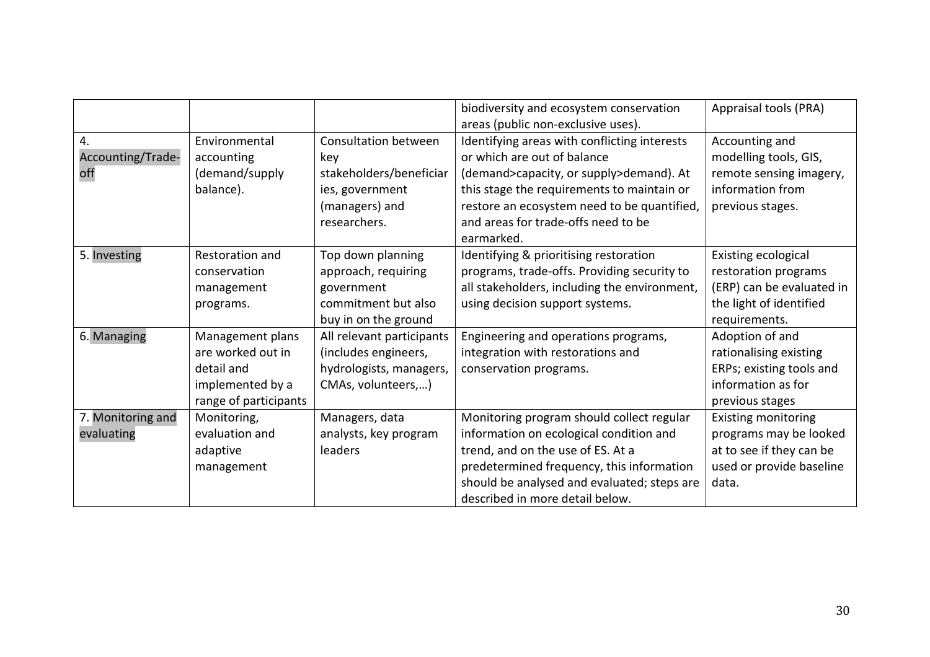|                   |                       |                           | biodiversity and ecosystem conservation      | Appraisal tools (PRA)      |
|-------------------|-----------------------|---------------------------|----------------------------------------------|----------------------------|
|                   |                       |                           | areas (public non-exclusive uses).           |                            |
| 4.                | Environmental         | Consultation between      | Identifying areas with conflicting interests | Accounting and             |
| Accounting/Trade- | accounting            | key                       | or which are out of balance                  | modelling tools, GIS,      |
| off               | (demand/supply        | stakeholders/beneficiar   | (demand>capacity, or supply>demand). At      | remote sensing imagery,    |
|                   | balance).             | ies, government           | this stage the requirements to maintain or   | information from           |
|                   |                       | (managers) and            | restore an ecosystem need to be quantified,  | previous stages.           |
|                   |                       | researchers.              | and areas for trade-offs need to be          |                            |
|                   |                       |                           | earmarked.                                   |                            |
| 5. Investing      | Restoration and       | Top down planning         | Identifying & prioritising restoration       | Existing ecological        |
|                   | conservation          | approach, requiring       | programs, trade-offs. Providing security to  | restoration programs       |
|                   | management            | government                | all stakeholders, including the environment, | (ERP) can be evaluated in  |
|                   | programs.             | commitment but also       | using decision support systems.              | the light of identified    |
|                   |                       | buy in on the ground      |                                              | requirements.              |
| 6. Managing       | Management plans      | All relevant participants | Engineering and operations programs,         | Adoption of and            |
|                   | are worked out in     | (includes engineers,      | integration with restorations and            | rationalising existing     |
|                   | detail and            | hydrologists, managers,   | conservation programs.                       | ERPs; existing tools and   |
|                   | implemented by a      | CMAs, volunteers,)        |                                              | information as for         |
|                   | range of participants |                           |                                              | previous stages            |
| 7. Monitoring and | Monitoring,           | Managers, data            | Monitoring program should collect regular    | <b>Existing monitoring</b> |
| evaluating        | evaluation and        | analysts, key program     | information on ecological condition and      | programs may be looked     |
|                   | adaptive              | leaders                   | trend, and on the use of ES. At a            | at to see if they can be   |
|                   | management            |                           | predetermined frequency, this information    | used or provide baseline   |
|                   |                       |                           | should be analysed and evaluated; steps are  | data.                      |
|                   |                       |                           | described in more detail below.              |                            |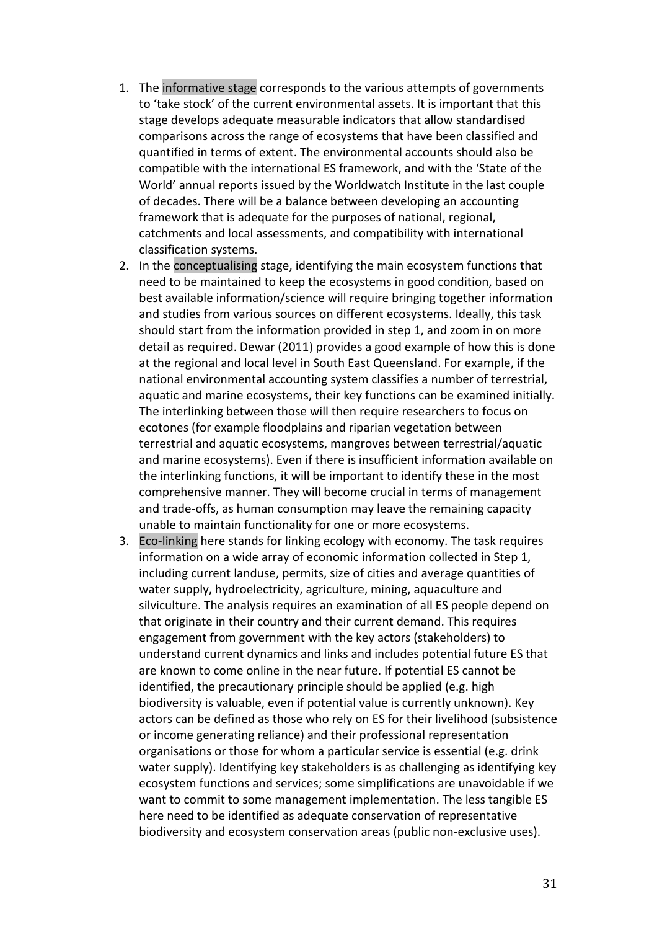- 1. The informative stage corresponds to the various attempts of governments to 'take stock' of the current environmental assets. It is important that this stage develops adequate measurable indicators that allow standardised comparisons across the range of ecosystems that have been classified and quantified in terms of extent. The environmental accounts should also be compatible with the international ES framework, and with the 'State of the World' annual reports issued by the Worldwatch Institute in the last couple of decades. There will be a balance between developing an accounting framework that is adequate for the purposes of national, regional, catchments and local assessments, and compatibility with international classification systems.
- 2. In the conceptualising stage, identifying the main ecosystem functions that need to be maintained to keep the ecosystems in good condition, based on best available information/science will require bringing together information and studies from various sources on different ecosystems. Ideally, this task should start from the information provided in step 1, and zoom in on more detail as required. Dewar (2011) provides a good example of how this is done at the regional and local level in South East Queensland. For example, if the national environmental accounting system classifies a number of terrestrial, aquatic and marine ecosystems, their key functions can be examined initially. The interlinking between those will then require researchers to focus on ecotones (for example floodplains and riparian vegetation between terrestrial and aquatic ecosystems, mangroves between terrestrial/aquatic and marine ecosystems). Even if there is insufficient information available on the interlinking functions, it will be important to identify these in the most comprehensive manner. They will become crucial in terms of management and trade-offs, as human consumption may leave the remaining capacity unable to maintain functionality for one or more ecosystems.
- 3. Eco-linking here stands for linking ecology with economy. The task requires information on a wide array of economic information collected in Step 1, including current landuse, permits, size of cities and average quantities of water supply, hydroelectricity, agriculture, mining, aquaculture and silviculture. The analysis requires an examination of all ES people depend on that originate in their country and their current demand. This requires engagement from government with the key actors (stakeholders) to understand current dynamics and links and includes potential future ES that are known to come online in the near future. If potential ES cannot be identified, the precautionary principle should be applied (e.g. high biodiversity is valuable, even if potential value is currently unknown). Key actors can be defined as those who rely on ES for their livelihood (subsistence or income generating reliance) and their professional representation organisations or those for whom a particular service is essential (e.g. drink water supply). Identifying key stakeholders is as challenging as identifying key ecosystem functions and services; some simplifications are unavoidable if we want to commit to some management implementation. The less tangible ES here need to be identified as adequate conservation of representative biodiversity and ecosystem conservation areas (public non-exclusive uses).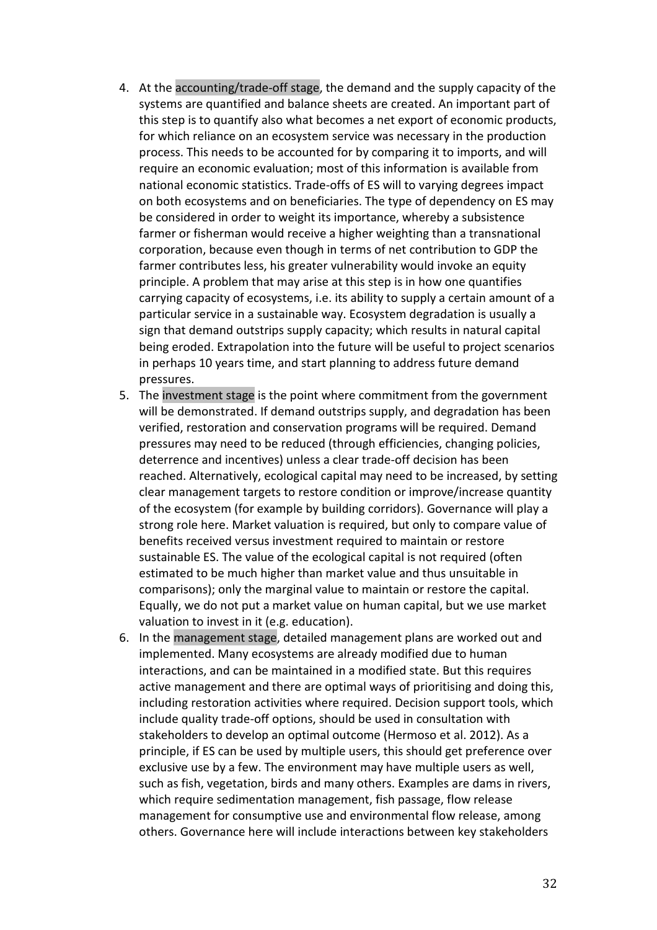- 4. At the accounting/trade-off stage, the demand and the supply capacity of the systems are quantified and balance sheets are created. An important part of this step is to quantify also what becomes a net export of economic products, for which reliance on an ecosystem service was necessary in the production process. This needs to be accounted for by comparing it to imports, and will require an economic evaluation; most of this information is available from national economic statistics. Trade-offs of ES will to varying degrees impact on both ecosystems and on beneficiaries. The type of dependency on ES may be considered in order to weight its importance, whereby a subsistence farmer or fisherman would receive a higher weighting than a transnational corporation, because even though in terms of net contribution to GDP the farmer contributes less, his greater vulnerability would invoke an equity principle. A problem that may arise at this step is in how one quantifies carrying capacity of ecosystems, i.e. its ability to supply a certain amount of a particular service in a sustainable way. Ecosystem degradation is usually a sign that demand outstrips supply capacity; which results in natural capital being eroded. Extrapolation into the future will be useful to project scenarios in perhaps 10 years time, and start planning to address future demand pressures.
- 5. The investment stage is the point where commitment from the government will be demonstrated. If demand outstrips supply, and degradation has been verified, restoration and conservation programs will be required. Demand pressures may need to be reduced (through efficiencies, changing policies, deterrence and incentives) unless a clear trade-off decision has been reached. Alternatively, ecological capital may need to be increased, by setting clear management targets to restore condition or improve/increase quantity of the ecosystem (for example by building corridors). Governance will play a strong role here. Market valuation is required, but only to compare value of benefits received versus investment required to maintain or restore sustainable ES. The value of the ecological capital is not required (often estimated to be much higher than market value and thus unsuitable in comparisons); only the marginal value to maintain or restore the capital. Equally, we do not put a market value on human capital, but we use market valuation to invest in it (e.g. education).
- 6. In the management stage, detailed management plans are worked out and implemented. Many ecosystems are already modified due to human interactions, and can be maintained in a modified state. But this requires active management and there are optimal ways of prioritising and doing this, including restoration activities where required. Decision support tools, which include quality trade-off options, should be used in consultation with stakeholders to develop an optimal outcome (Hermoso et al. 2012). As a principle, if ES can be used by multiple users, this should get preference over exclusive use by a few. The environment may have multiple users as well, such as fish, vegetation, birds and many others. Examples are dams in rivers, which require sedimentation management, fish passage, flow release management for consumptive use and environmental flow release, among others. Governance here will include interactions between key stakeholders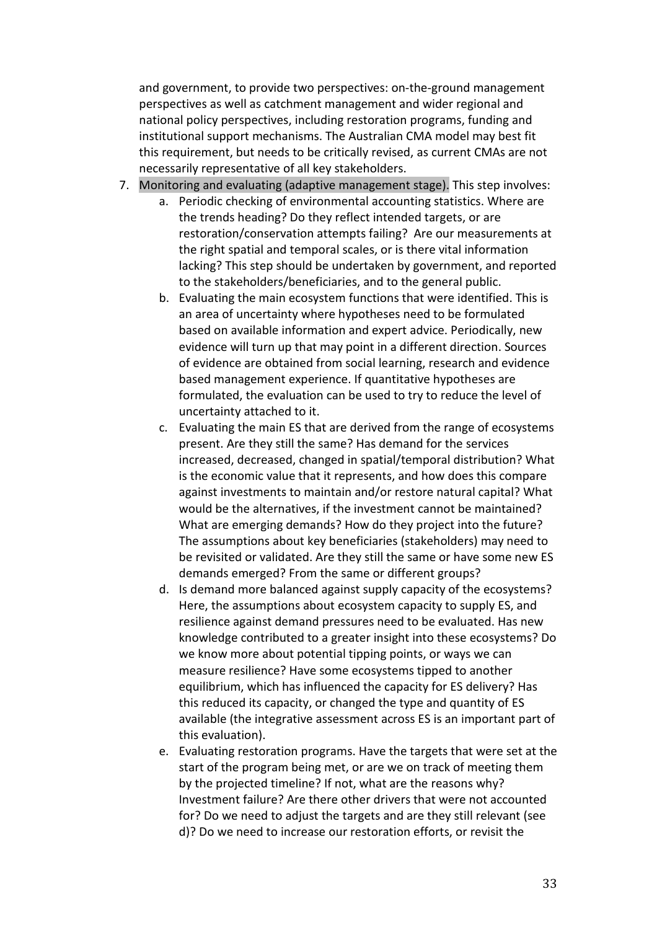and government, to provide two perspectives: on-the-ground management perspectives as well as catchment management and wider regional and national policy perspectives, including restoration programs, funding and institutional support mechanisms. The Australian CMA model may best fit this requirement, but needs to be critically revised, as current CMAs are not necessarily representative of all key stakeholders.

- 7. Monitoring and evaluating (adaptive management stage). This step involves:
	- a. Periodic checking of environmental accounting statistics. Where are the trends heading? Do they reflect intended targets, or are restoration/conservation attempts failing? Are our measurements at the right spatial and temporal scales, or is there vital information lacking? This step should be undertaken by government, and reported to the stakeholders/beneficiaries, and to the general public.
	- b. Evaluating the main ecosystem functions that were identified. This is an area of uncertainty where hypotheses need to be formulated based on available information and expert advice. Periodically, new evidence will turn up that may point in a different direction. Sources of evidence are obtained from social learning, research and evidence based management experience. If quantitative hypotheses are formulated, the evaluation can be used to try to reduce the level of uncertainty attached to it.
	- c. Evaluating the main ES that are derived from the range of ecosystems present. Are they still the same? Has demand for the services increased, decreased, changed in spatial/temporal distribution? What is the economic value that it represents, and how does this compare against investments to maintain and/or restore natural capital? What would be the alternatives, if the investment cannot be maintained? What are emerging demands? How do they project into the future? The assumptions about key beneficiaries (stakeholders) may need to be revisited or validated. Are they still the same or have some new ES demands emerged? From the same or different groups?
	- d. Is demand more balanced against supply capacity of the ecosystems? Here, the assumptions about ecosystem capacity to supply ES, and resilience against demand pressures need to be evaluated. Has new knowledge contributed to a greater insight into these ecosystems? Do we know more about potential tipping points, or ways we can measure resilience? Have some ecosystems tipped to another equilibrium, which has influenced the capacity for ES delivery? Has this reduced its capacity, or changed the type and quantity of ES available (the integrative assessment across ES is an important part of this evaluation).
	- e. Evaluating restoration programs. Have the targets that were set at the start of the program being met, or are we on track of meeting them by the projected timeline? If not, what are the reasons why? Investment failure? Are there other drivers that were not accounted for? Do we need to adjust the targets and are they still relevant (see d)? Do we need to increase our restoration efforts, or revisit the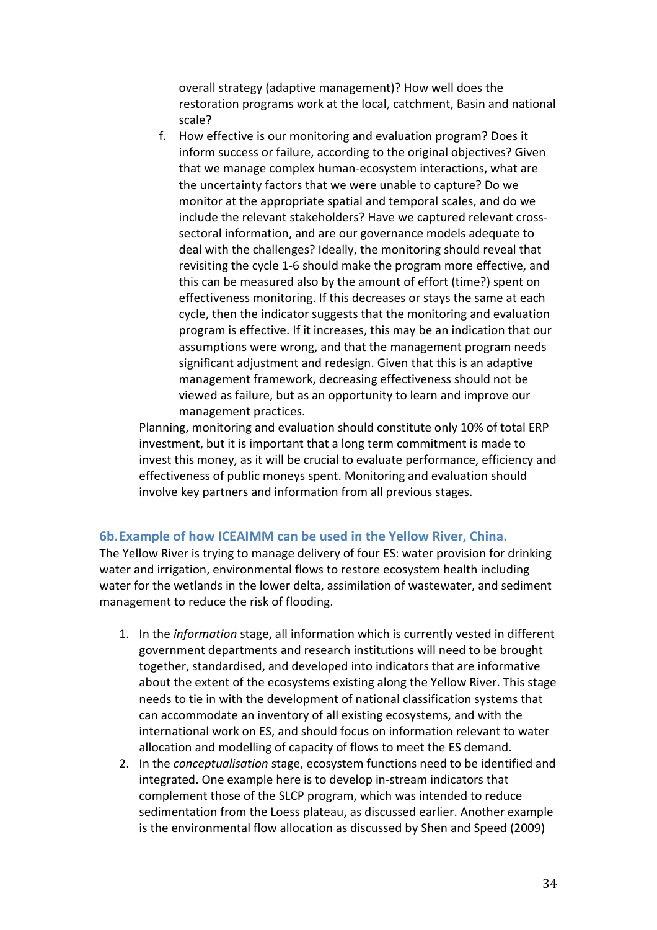overall strategy (adaptive management)? How well does the restoration programs work at the local, catchment, Basin and national scale?

f. How effective is our monitoring and evaluation program? Does it inform success or failure, according to the original objectives? Given that we manage complex human-ecosystem interactions, what are the uncertainty factors that we were unable to capture? Do we monitor at the appropriate spatial and temporal scales, and do we include the relevant stakeholders? Have we captured relevant crosssectoral information, and are our governance models adequate to deal with the challenges? Ideally, the monitoring should reveal that revisiting the cycle 1-6 should make the program more effective, and this can be measured also by the amount of effort (time?) spent on effectiveness monitoring. If this decreases or stays the same at each cycle, then the indicator suggests that the monitoring and evaluation program is effective. If it increases, this may be an indication that our assumptions were wrong, and that the management program needs significant adjustment and redesign. Given that this is an adaptive management framework, decreasing effectiveness should not be viewed as failure, but as an opportunity to learn and improve our management practices.

Planning, monitoring and evaluation should constitute only 10% of total ERP investment, but it is important that a long term commitment is made to invest this money, as it will be crucial to evaluate performance, efficiency and effectiveness of public moneys spent. Monitoring and evaluation should involve key partners and information from all previous stages.

#### **6b.Example of how ICEAIMM can be used in the Yellow River, China.**

The Yellow River is trying to manage delivery of four ES: water provision for drinking water and irrigation, environmental flows to restore ecosystem health including water for the wetlands in the lower delta, assimilation of wastewater, and sediment management to reduce the risk of flooding.

- 1. In the *information* stage, all information which is currently vested in different government departments and research institutions will need to be brought together, standardised, and developed into indicators that are informative about the extent of the ecosystems existing along the Yellow River. This stage needs to tie in with the development of national classification systems that can accommodate an inventory of all existing ecosystems, and with the international work on ES, and should focus on information relevant to water allocation and modelling of capacity of flows to meet the ES demand.
- 2. In the *conceptualisation* stage, ecosystem functions need to be identified and integrated. One example here is to develop in-stream indicators that complement those of the SLCP program, which was intended to reduce sedimentation from the Loess plateau, as discussed earlier. Another example is the environmental flow allocation as discussed by Shen and Speed (2009)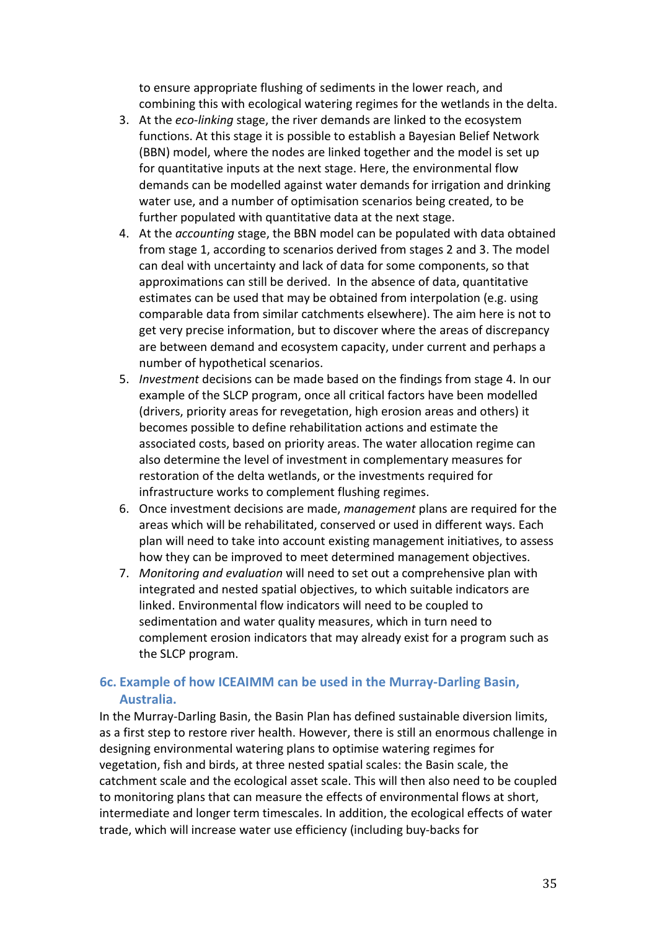to ensure appropriate flushing of sediments in the lower reach, and combining this with ecological watering regimes for the wetlands in the delta.

- 3. At the *eco-linking* stage, the river demands are linked to the ecosystem functions. At this stage it is possible to establish a Bayesian Belief Network (BBN) model, where the nodes are linked together and the model is set up for quantitative inputs at the next stage. Here, the environmental flow demands can be modelled against water demands for irrigation and drinking water use, and a number of optimisation scenarios being created, to be further populated with quantitative data at the next stage.
- 4. At the *accounting* stage, the BBN model can be populated with data obtained from stage 1, according to scenarios derived from stages 2 and 3. The model can deal with uncertainty and lack of data for some components, so that approximations can still be derived. In the absence of data, quantitative estimates can be used that may be obtained from interpolation (e.g. using comparable data from similar catchments elsewhere). The aim here is not to get very precise information, but to discover where the areas of discrepancy are between demand and ecosystem capacity, under current and perhaps a number of hypothetical scenarios.
- 5. *Investment* decisions can be made based on the findings from stage 4. In our example of the SLCP program, once all critical factors have been modelled (drivers, priority areas for revegetation, high erosion areas and others) it becomes possible to define rehabilitation actions and estimate the associated costs, based on priority areas. The water allocation regime can also determine the level of investment in complementary measures for restoration of the delta wetlands, or the investments required for infrastructure works to complement flushing regimes.
- 6. Once investment decisions are made, *management* plans are required for the areas which will be rehabilitated, conserved or used in different ways. Each plan will need to take into account existing management initiatives, to assess how they can be improved to meet determined management objectives.
- 7. *Monitoring and evaluation* will need to set out a comprehensive plan with integrated and nested spatial objectives, to which suitable indicators are linked. Environmental flow indicators will need to be coupled to sedimentation and water quality measures, which in turn need to complement erosion indicators that may already exist for a program such as the SLCP program.

# **6c. Example of how ICEAIMM can be used in the Murray-Darling Basin, Australia.**

In the Murray-Darling Basin, the Basin Plan has defined sustainable diversion limits, as a first step to restore river health. However, there is still an enormous challenge in designing environmental watering plans to optimise watering regimes for vegetation, fish and birds, at three nested spatial scales: the Basin scale, the catchment scale and the ecological asset scale. This will then also need to be coupled to monitoring plans that can measure the effects of environmental flows at short, intermediate and longer term timescales. In addition, the ecological effects of water trade, which will increase water use efficiency (including buy-backs for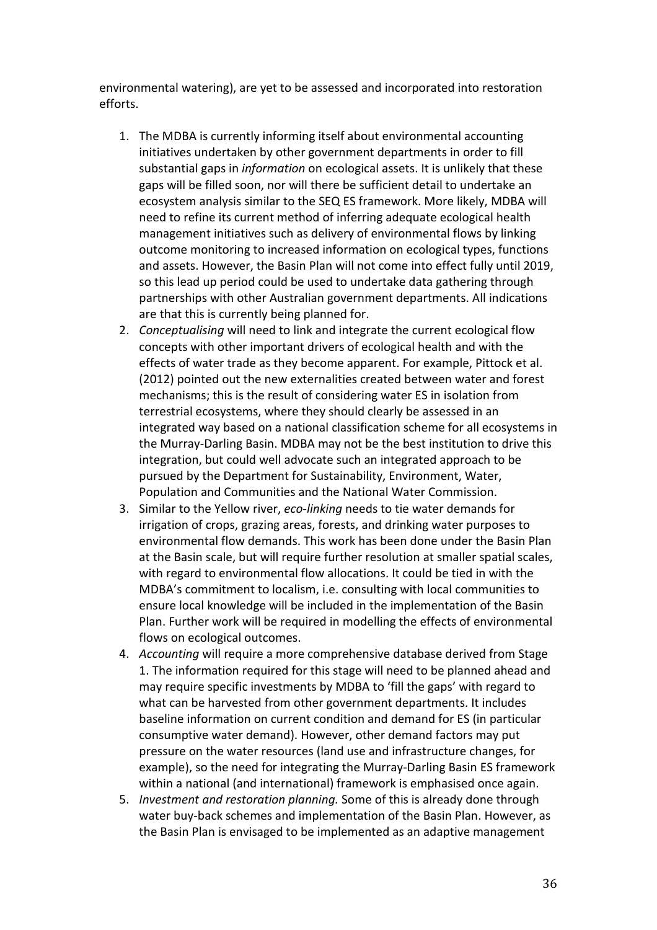environmental watering), are yet to be assessed and incorporated into restoration efforts.

- 1. The MDBA is currently informing itself about environmental accounting initiatives undertaken by other government departments in order to fill substantial gaps in *information* on ecological assets. It is unlikely that these gaps will be filled soon, nor will there be sufficient detail to undertake an ecosystem analysis similar to the SEQ ES framework. More likely, MDBA will need to refine its current method of inferring adequate ecological health management initiatives such as delivery of environmental flows by linking outcome monitoring to increased information on ecological types, functions and assets. However, the Basin Plan will not come into effect fully until 2019, so this lead up period could be used to undertake data gathering through partnerships with other Australian government departments. All indications are that this is currently being planned for.
- 2. *Conceptualising* will need to link and integrate the current ecological flow concepts with other important drivers of ecological health and with the effects of water trade as they become apparent. For example, Pittock et al. (2012) pointed out the new externalities created between water and forest mechanisms; this is the result of considering water ES in isolation from terrestrial ecosystems, where they should clearly be assessed in an integrated way based on a national classification scheme for all ecosystems in the Murray-Darling Basin. MDBA may not be the best institution to drive this integration, but could well advocate such an integrated approach to be pursued by the Department for Sustainability, Environment, Water, Population and Communities and the National Water Commission.
- 3. Similar to the Yellow river, *eco-linking* needs to tie water demands for irrigation of crops, grazing areas, forests, and drinking water purposes to environmental flow demands. This work has been done under the Basin Plan at the Basin scale, but will require further resolution at smaller spatial scales, with regard to environmental flow allocations. It could be tied in with the MDBA's commitment to localism, i.e. consulting with local communities to ensure local knowledge will be included in the implementation of the Basin Plan. Further work will be required in modelling the effects of environmental flows on ecological outcomes.
- 4. *Accounting* will require a more comprehensive database derived from Stage 1. The information required for this stage will need to be planned ahead and may require specific investments by MDBA to 'fill the gaps' with regard to what can be harvested from other government departments. It includes baseline information on current condition and demand for ES (in particular consumptive water demand). However, other demand factors may put pressure on the water resources (land use and infrastructure changes, for example), so the need for integrating the Murray-Darling Basin ES framework within a national (and international) framework is emphasised once again.
- 5. *Investment and restoration planning.* Some of this is already done through water buy-back schemes and implementation of the Basin Plan. However, as the Basin Plan is envisaged to be implemented as an adaptive management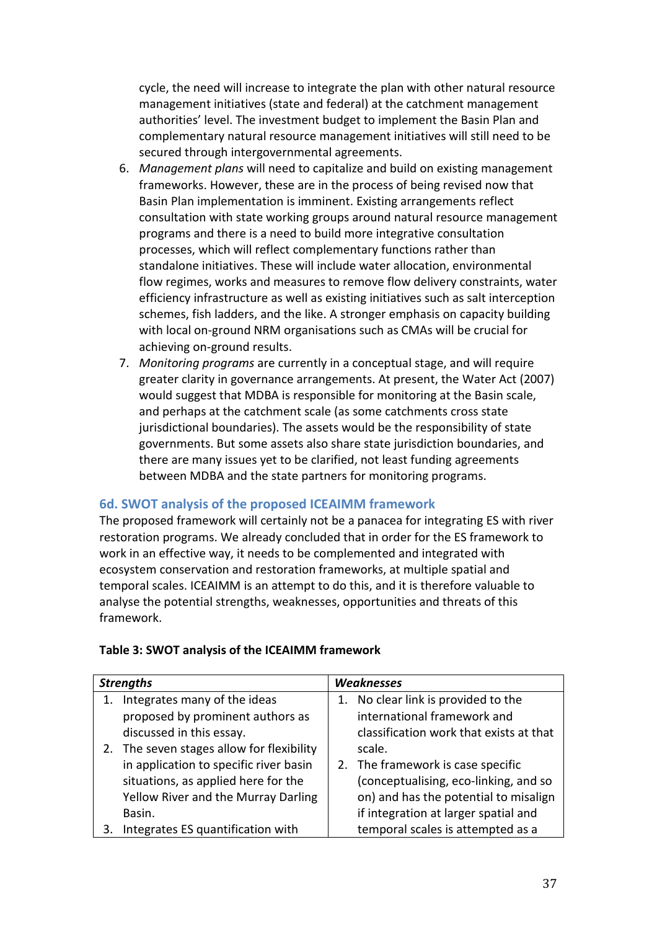cycle, the need will increase to integrate the plan with other natural resource management initiatives (state and federal) at the catchment management authorities' level. The investment budget to implement the Basin Plan and complementary natural resource management initiatives will still need to be secured through intergovernmental agreements.

- 6. *Management plans* will need to capitalize and build on existing management frameworks. However, these are in the process of being revised now that Basin Plan implementation is imminent. Existing arrangements reflect consultation with state working groups around natural resource management programs and there is a need to build more integrative consultation processes, which will reflect complementary functions rather than standalone initiatives. These will include water allocation, environmental flow regimes, works and measures to remove flow delivery constraints, water efficiency infrastructure as well as existing initiatives such as salt interception schemes, fish ladders, and the like. A stronger emphasis on capacity building with local on-ground NRM organisations such as CMAs will be crucial for achieving on-ground results.
- 7. *Monitoring programs* are currently in a conceptual stage, and will require greater clarity in governance arrangements. At present, the Water Act (2007) would suggest that MDBA is responsible for monitoring at the Basin scale, and perhaps at the catchment scale (as some catchments cross state jurisdictional boundaries). The assets would be the responsibility of state governments. But some assets also share state jurisdiction boundaries, and there are many issues yet to be clarified, not least funding agreements between MDBA and the state partners for monitoring programs.

# **6d. SWOT analysis of the proposed ICEAIMM framework**

The proposed framework will certainly not be a panacea for integrating ES with river restoration programs. We already concluded that in order for the ES framework to work in an effective way, it needs to be complemented and integrated with ecosystem conservation and restoration frameworks, at multiple spatial and temporal scales. ICEAIMM is an attempt to do this, and it is therefore valuable to analyse the potential strengths, weaknesses, opportunities and threats of this framework.

| <b>Strengths</b> |                                           |  | <b>Weaknesses</b>                       |  |  |
|------------------|-------------------------------------------|--|-----------------------------------------|--|--|
|                  | Integrates many of the ideas              |  | 1. No clear link is provided to the     |  |  |
|                  | proposed by prominent authors as          |  | international framework and             |  |  |
|                  | discussed in this essay.                  |  | classification work that exists at that |  |  |
|                  | 2. The seven stages allow for flexibility |  | scale.                                  |  |  |
|                  | in application to specific river basin    |  | 2. The framework is case specific       |  |  |
|                  | situations, as applied here for the       |  | (conceptualising, eco-linking, and so   |  |  |
|                  | Yellow River and the Murray Darling       |  | on) and has the potential to misalign   |  |  |
|                  | Basin.                                    |  | if integration at larger spatial and    |  |  |
|                  | Integrates ES quantification with         |  | temporal scales is attempted as a       |  |  |

#### **Table 3: SWOT analysis of the ICEAIMM framework**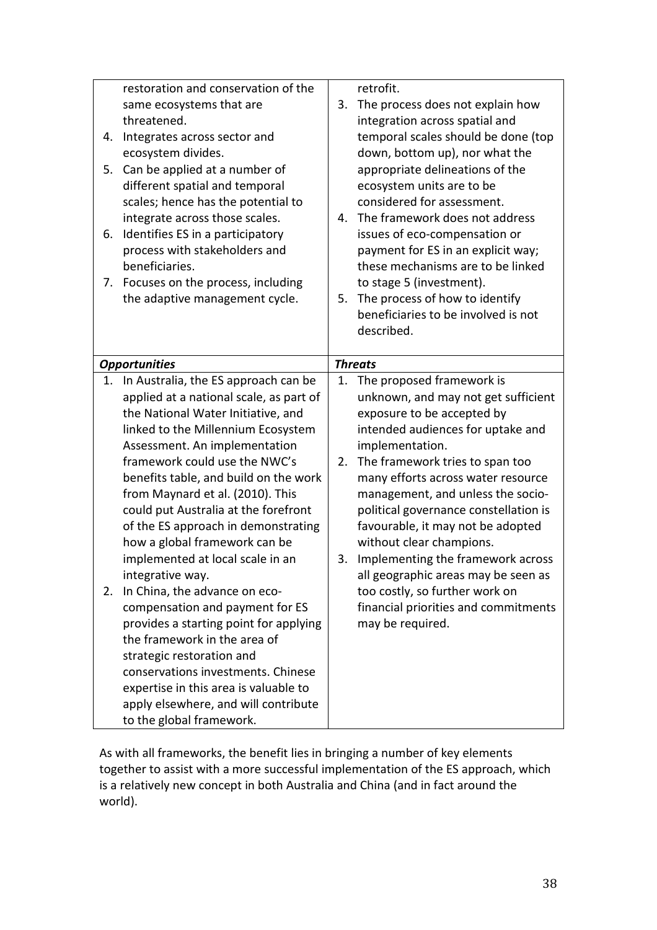|    | restoration and conservation of the                              |    | retrofit.                             |
|----|------------------------------------------------------------------|----|---------------------------------------|
|    | same ecosystems that are                                         | 3. | The process does not explain how      |
|    | threatened.                                                      |    | integration across spatial and        |
| 4. | Integrates across sector and                                     |    | temporal scales should be done (top   |
|    | ecosystem divides.                                               |    | down, bottom up), nor what the        |
| 5. | Can be applied at a number of                                    |    | appropriate delineations of the       |
|    | different spatial and temporal                                   |    | ecosystem units are to be             |
|    | scales; hence has the potential to                               |    | considered for assessment.            |
|    | integrate across those scales.                                   | 4. | The framework does not address        |
| 6. | Identifies ES in a participatory                                 |    | issues of eco-compensation or         |
|    | process with stakeholders and                                    |    | payment for ES in an explicit way;    |
|    | beneficiaries.                                                   |    | these mechanisms are to be linked     |
| 7. | Focuses on the process, including                                |    | to stage 5 (investment).              |
|    | the adaptive management cycle.                                   | 5. | The process of how to identify        |
|    |                                                                  |    | beneficiaries to be involved is not   |
|    |                                                                  |    | described.                            |
|    |                                                                  |    |                                       |
|    | <b>Opportunities</b>                                             |    | <b>Threats</b>                        |
| 1. | In Australia, the ES approach can be                             | 1. | The proposed framework is             |
|    | applied at a national scale, as part of                          |    | unknown, and may not get sufficient   |
|    | the National Water Initiative, and                               |    | exposure to be accepted by            |
|    | linked to the Millennium Ecosystem                               |    | intended audiences for uptake and     |
|    | Assessment. An implementation                                    |    | implementation.                       |
|    | framework could use the NWC's                                    | 2. | The framework tries to span too       |
|    | benefits table, and build on the work                            |    | many efforts across water resource    |
|    | from Maynard et al. (2010). This                                 |    | management, and unless the socio-     |
|    | could put Australia at the forefront                             |    | political governance constellation is |
|    | of the ES approach in demonstrating                              |    | favourable, it may not be adopted     |
|    | how a global framework can be                                    |    | without clear champions.              |
|    | implemented at local scale in an                                 | 3. | Implementing the framework across     |
|    | integrative way.                                                 |    | all geographic areas may be seen as   |
| 2. | In China, the advance on eco-                                    |    | too costly, so further work on        |
|    | compensation and payment for ES                                  |    | financial priorities and commitments  |
|    | provides a starting point for applying                           |    | may be required.                      |
|    | the framework in the area of                                     |    |                                       |
|    |                                                                  |    |                                       |
|    | strategic restoration and                                        |    |                                       |
|    | conservations investments. Chinese                               |    |                                       |
|    | expertise in this area is valuable to                            |    |                                       |
|    | apply elsewhere, and will contribute<br>to the global framework. |    |                                       |

As with all frameworks, the benefit lies in bringing a number of key elements together to assist with a more successful implementation of the ES approach, which is a relatively new concept in both Australia and China (and in fact around the world).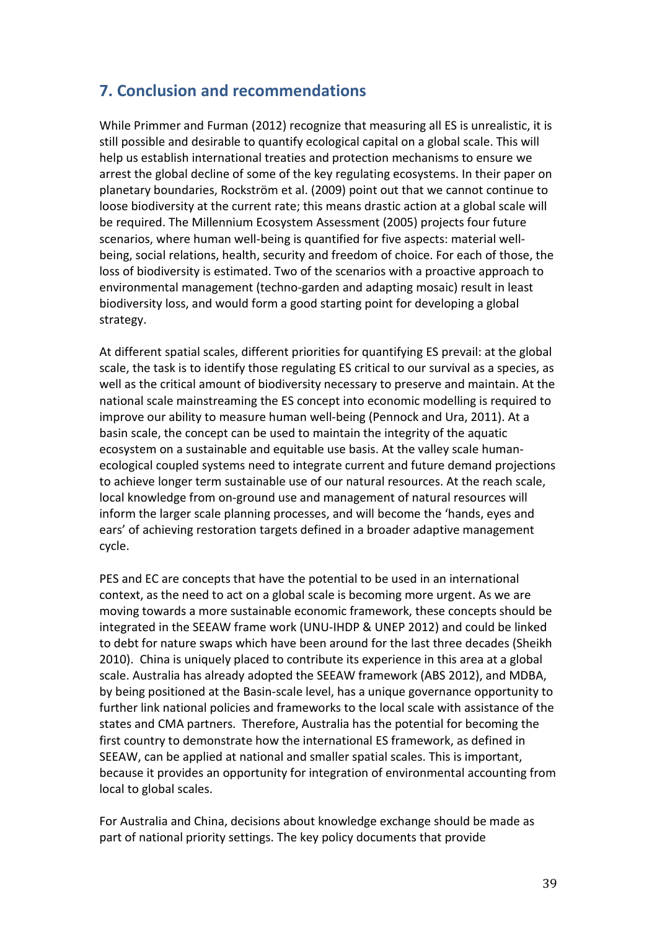# **7. Conclusion and recommendations**

While Primmer and Furman (2012) recognize that measuring all ES is unrealistic, it is still possible and desirable to quantify ecological capital on a global scale. This will help us establish international treaties and protection mechanisms to ensure we arrest the global decline of some of the key regulating ecosystems. In their paper on planetary boundaries, Rockström et al. (2009) point out that we cannot continue to loose biodiversity at the current rate; this means drastic action at a global scale will be required. The Millennium Ecosystem Assessment (2005) projects four future scenarios, where human well-being is quantified for five aspects: material wellbeing, social relations, health, security and freedom of choice. For each of those, the loss of biodiversity is estimated. Two of the scenarios with a proactive approach to environmental management (techno-garden and adapting mosaic) result in least biodiversity loss, and would form a good starting point for developing a global strategy.

At different spatial scales, different priorities for quantifying ES prevail: at the global scale, the task is to identify those regulating ES critical to our survival as a species, as well as the critical amount of biodiversity necessary to preserve and maintain. At the national scale mainstreaming the ES concept into economic modelling is required to improve our ability to measure human well-being (Pennock and Ura, 2011). At a basin scale, the concept can be used to maintain the integrity of the aquatic ecosystem on a sustainable and equitable use basis. At the valley scale humanecological coupled systems need to integrate current and future demand projections to achieve longer term sustainable use of our natural resources. At the reach scale, local knowledge from on-ground use and management of natural resources will inform the larger scale planning processes, and will become the 'hands, eyes and ears' of achieving restoration targets defined in a broader adaptive management cycle.

PES and EC are concepts that have the potential to be used in an international context, as the need to act on a global scale is becoming more urgent. As we are moving towards a more sustainable economic framework, these concepts should be integrated in the SEEAW frame work (UNU-IHDP & UNEP 2012) and could be linked to debt for nature swaps which have been around for the last three decades (Sheikh 2010). China is uniquely placed to contribute its experience in this area at a global scale. Australia has already adopted the SEEAW framework (ABS 2012), and MDBA, by being positioned at the Basin-scale level, has a unique governance opportunity to further link national policies and frameworks to the local scale with assistance of the states and CMA partners. Therefore, Australia has the potential for becoming the first country to demonstrate how the international ES framework, as defined in SEEAW, can be applied at national and smaller spatial scales. This is important, because it provides an opportunity for integration of environmental accounting from local to global scales.

For Australia and China, decisions about knowledge exchange should be made as part of national priority settings. The key policy documents that provide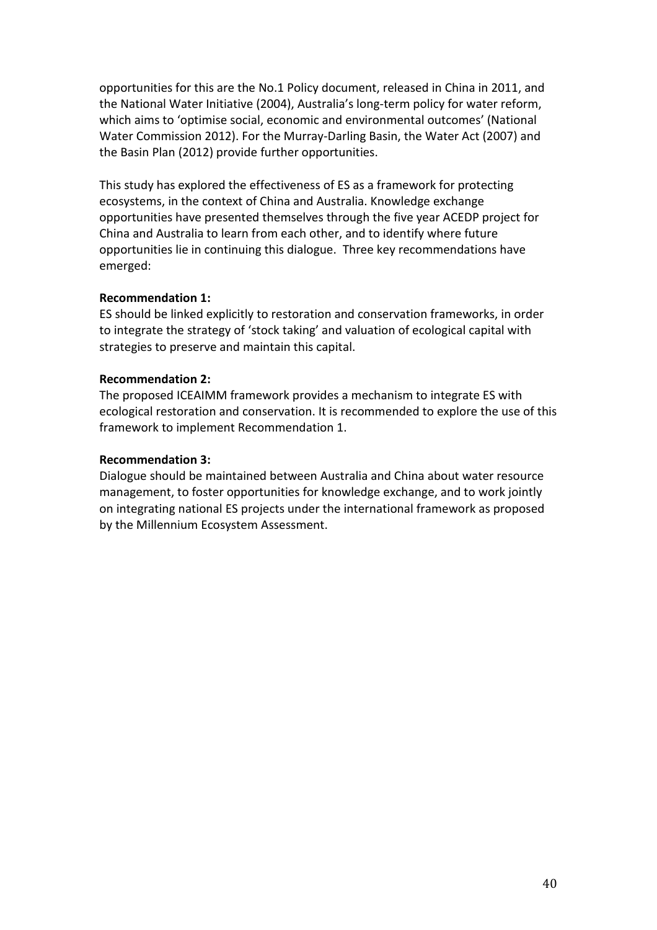opportunities for this are the No.1 Policy document, released in China in 2011, and the National Water Initiative (2004), Australia's long-term policy for water reform, which aims to 'optimise social, economic and environmental outcomes' (National Water Commission 2012). For the Murray-Darling Basin, the Water Act (2007) and the Basin Plan (2012) provide further opportunities.

This study has explored the effectiveness of ES as a framework for protecting ecosystems, in the context of China and Australia. Knowledge exchange opportunities have presented themselves through the five year ACEDP project for China and Australia to learn from each other, and to identify where future opportunities lie in continuing this dialogue. Three key recommendations have emerged:

### **Recommendation 1:**

ES should be linked explicitly to restoration and conservation frameworks, in order to integrate the strategy of 'stock taking' and valuation of ecological capital with strategies to preserve and maintain this capital.

### **Recommendation 2:**

The proposed ICEAIMM framework provides a mechanism to integrate ES with ecological restoration and conservation. It is recommended to explore the use of this framework to implement Recommendation 1.

### **Recommendation 3:**

Dialogue should be maintained between Australia and China about water resource management, to foster opportunities for knowledge exchange, and to work jointly on integrating national ES projects under the international framework as proposed by the Millennium Ecosystem Assessment.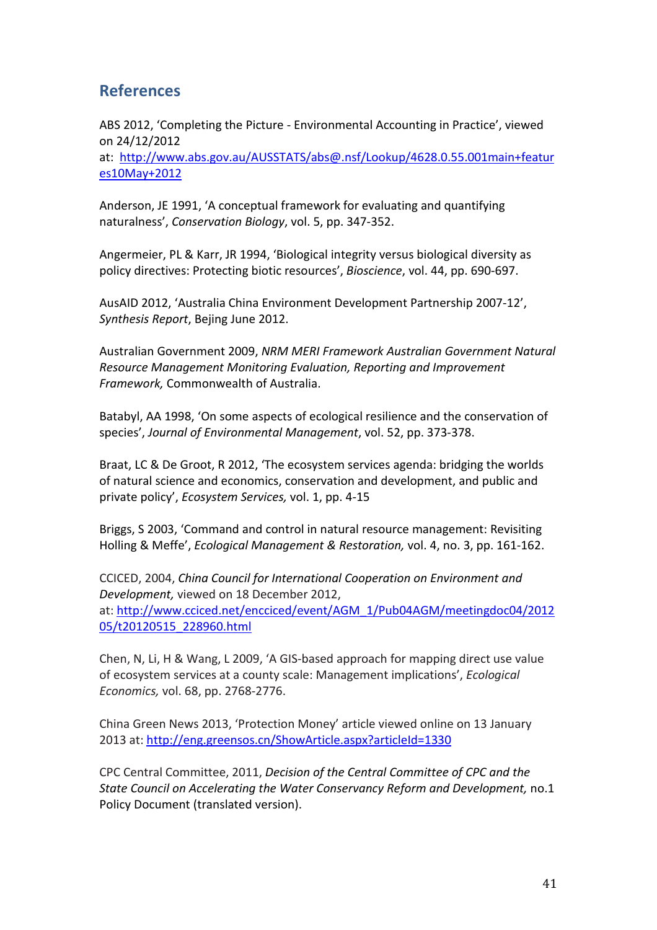# **References**

[es10May+2012](http://www.abs.gov.au/AUSSTATS/abs@.nsf/Lookup/4628.0.55.001main+features10May+2012)

ABS 2012, 'Completing the Picture - Environmental Accounting in Practice', viewed on 24/12/2012 at: [http://www.abs.gov.au/AUSSTATS/abs@.nsf/Lookup/4628.0.55.001main+featur](http://www.abs.gov.au/AUSSTATS/abs@.nsf/Lookup/4628.0.55.001main+features10May+2012)

Anderson, JE 1991, 'A conceptual framework for evaluating and quantifying naturalness', *Conservation Biology*, vol. 5, pp. 347-352.

Angermeier, PL & Karr, JR 1994, 'Biological integrity versus biological diversity as policy directives: Protecting biotic resources', *Bioscience*, vol. 44, pp. 690-697.

AusAID 2012, 'Australia China Environment Development Partnership 2007-12', *Synthesis Report*, Bejing June 2012.

Australian Government 2009, *NRM MERI Framework Australian Government Natural Resource Management Monitoring Evaluation, Reporting and Improvement Framework,* Commonwealth of Australia.

Batabyl, AA 1998, 'On some aspects of ecological resilience and the conservation of species', *Journal of Environmental Management*, vol. 52, pp. 373-378.

Braat, LC & De Groot, R 2012, 'The ecosystem services agenda: bridging the worlds of natural science and economics, conservation and development, and public and private policy', *Ecosystem Services,* vol. 1, pp. 4-15

Briggs, S 2003, 'Command and control in natural resource management: Revisiting Holling & Meffe', *Ecological Management & Restoration,* vol. 4, no. 3, pp. 161-162.

CCICED, 2004, *China Council for International Cooperation on Environment and Development,* viewed on 18 December 2012, at: [http://www.cciced.net/encciced/event/AGM\\_1/Pub04AGM/meetingdoc04/2012](http://www.cciced.net/encciced/event/AGM_1/Pub04AGM/meetingdoc04/201205/t20120515_228960.html) [05/t20120515\\_228960.html](http://www.cciced.net/encciced/event/AGM_1/Pub04AGM/meetingdoc04/201205/t20120515_228960.html)

Chen, N, Li, H & Wang, L 2009, 'A GIS-based approach for mapping direct use value of ecosystem services at a county scale: Management implications', *Ecological Economics,* vol. 68, pp. 2768-2776.

China Green News 2013, 'Protection Money' article viewed online on 13 January 2013 at[: http://eng.greensos.cn/ShowArticle.aspx?articleId=1330](http://eng.greensos.cn/ShowArticle.aspx?articleId=1330)

CPC Central Committee, 2011, *Decision of the Central Committee of CPC and the State Council on Accelerating the Water Conservancy Reform and Development,* no.1 Policy Document (translated version).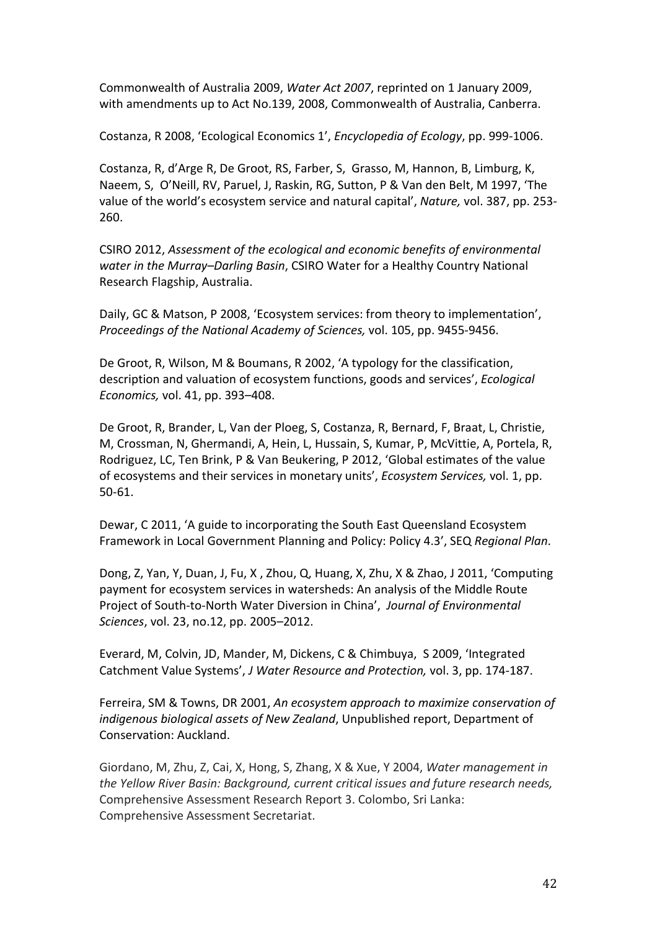Commonwealth of Australia 2009, *Water Act 2007*, reprinted on 1 January 2009, with amendments up to Act No.139, 2008, Commonwealth of Australia, Canberra.

Costanza, R 2008, 'Ecological Economics 1', *Encyclopedia of Ecology*, pp. 999-1006.

Costanza, R, d'Arge R, De Groot, RS, Farber, S, Grasso, M, Hannon, B, Limburg, K, Naeem, S, O'Neill, RV, Paruel, J, Raskin, RG, Sutton, P & Van den Belt, M 1997, 'The value of the world's ecosystem service and natural capital', *Nature,* vol. 387, pp. 253- 260.

CSIRO 2012, *Assessment of the ecological and economic benefits of environmental water in the Murray–Darling Basin*, CSIRO Water for a Healthy Country National Research Flagship, Australia.

Daily, GC & Matson, P 2008, 'Ecosystem services: from theory to implementation', *Proceedings of the National Academy of Sciences,* vol. 105, pp. 9455-9456.

De Groot, R, Wilson, M & Boumans, R 2002, 'A typology for the classification, description and valuation of ecosystem functions, goods and services', *Ecological Economics,* vol. 41, pp. 393–408.

De Groot, R, Brander, L, Van der Ploeg, S, Costanza, R, Bernard, F, Braat, L, Christie, M, Crossman, N, Ghermandi, A, Hein, L, Hussain, S, Kumar, P, McVittie, A, Portela, R, Rodriguez, LC, Ten Brink, P & Van Beukering, P 2012, 'Global estimates of the value of ecosystems and their services in monetary units', *Ecosystem Services,* vol. 1, pp. 50-61.

Dewar, C 2011, 'A guide to incorporating the South East Queensland Ecosystem Framework in Local Government Planning and Policy: Policy 4.3', SEQ *Regional Plan*.

Dong, Z, Yan, Y, Duan, J, Fu, X , Zhou, Q, Huang, X, Zhu, X & Zhao, J 2011, 'Computing payment for ecosystem services in watersheds: An analysis of the Middle Route Project of South-to-North Water Diversion in China', *Journal of Environmental Sciences*, vol. 23, no.12, pp. 2005–2012.

Everard, M, Colvin, JD, Mander, M, Dickens, C & Chimbuya, S 2009, 'Integrated Catchment Value Systems', *J Water Resource and Protection,* vol. 3, pp. 174-187.

Ferreira, SM & Towns, DR 2001, *An ecosystem approach to maximize conservation of indigenous biological assets of New Zealand*, Unpublished report, Department of Conservation: Auckland.

Giordano, M, Zhu, Z, Cai, X, Hong, S, Zhang, X & Xue, Y 2004, *Water management in the Yellow River Basin: Background, current critical issues and future research needs,* Comprehensive Assessment Research Report 3. Colombo, Sri Lanka: Comprehensive Assessment Secretariat.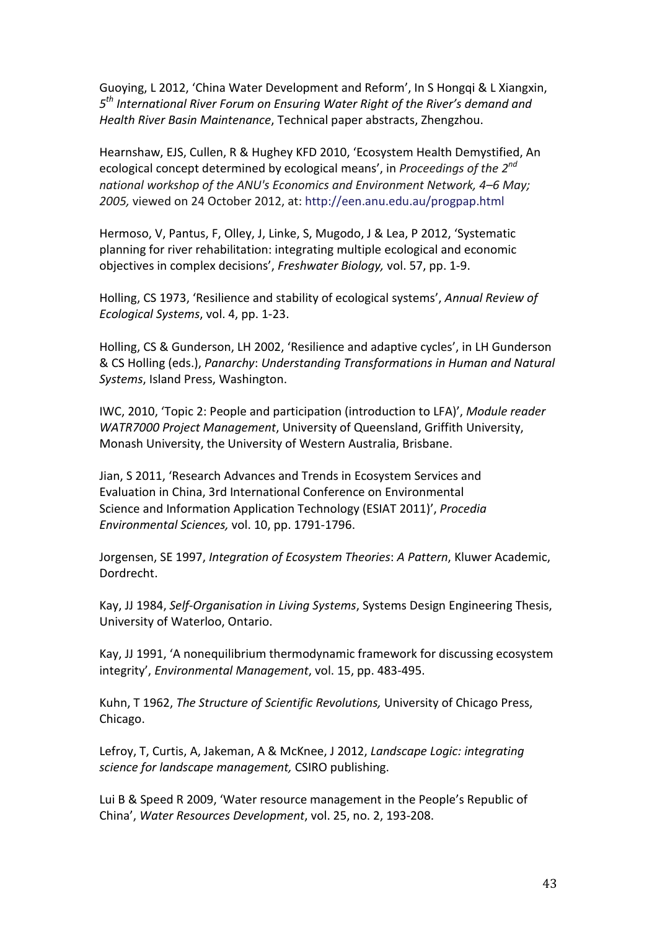Guoying, L 2012, 'China Water Development and Reform', In S Hongqi & L Xiangxin, *5th International River Forum on Ensuring Water Right of the River's demand and Health River Basin Maintenance*, Technical paper abstracts, Zhengzhou.

Hearnshaw, EJS, Cullen, R & Hughey KFD 2010, 'Ecosystem Health Demystified, An ecological concept determined by ecological means', in *Proceedings of the 2nd national workshop of the ANU's Economics and Environment Network, 4–6 May; 2005,* viewed on 24 October 2012, at: http://een.anu.edu.au/progpap.html

Hermoso, V, Pantus, F, Olley, J, Linke, S, Mugodo, J & Lea, P 2012, 'Systematic planning for river rehabilitation: integrating multiple ecological and economic objectives in complex decisions', *Freshwater Biology,* vol. 57, pp. 1-9.

Holling, CS 1973, 'Resilience and stability of ecological systems', *Annual Review of Ecological Systems*, vol. 4, pp. 1-23.

Holling, CS & Gunderson, LH 2002, 'Resilience and adaptive cycles', in LH Gunderson & CS Holling (eds.), *Panarchy*: *Understanding Transformations in Human and Natural Systems*, Island Press, Washington.

IWC, 2010, 'Topic 2: People and participation (introduction to LFA)', *Module reader WATR7000 Project Management*, University of Queensland, Griffith University, Monash University, the University of Western Australia, Brisbane.

Jian, S 2011, 'Research Advances and Trends in Ecosystem Services and Evaluation in China, 3rd International Conference on Environmental Science and Information Application Technology (ESIAT 2011)', *Procedia Environmental Sciences,* vol. 10, pp. 1791-1796.

Jorgensen, SE 1997, *Integration of Ecosystem Theories*: *A Pattern*, Kluwer Academic, Dordrecht.

Kay, JJ 1984, *Self-Organisation in Living Systems*, Systems Design Engineering Thesis, University of Waterloo, Ontario.

Kay, JJ 1991, 'A nonequilibrium thermodynamic framework for discussing ecosystem integrity', *Environmental Management*, vol. 15, pp. 483-495.

Kuhn, T 1962, *The Structure of Scientific Revolutions,* University of Chicago Press, Chicago.

Lefroy, T, Curtis, A, Jakeman, A & McKnee, J 2012, *Landscape Logic: integrating science for landscape management,* CSIRO publishing.

Lui B & Speed R 2009, 'Water resource management in the People's Republic of China', *Water Resources Development*, vol. 25, no. 2, 193-208.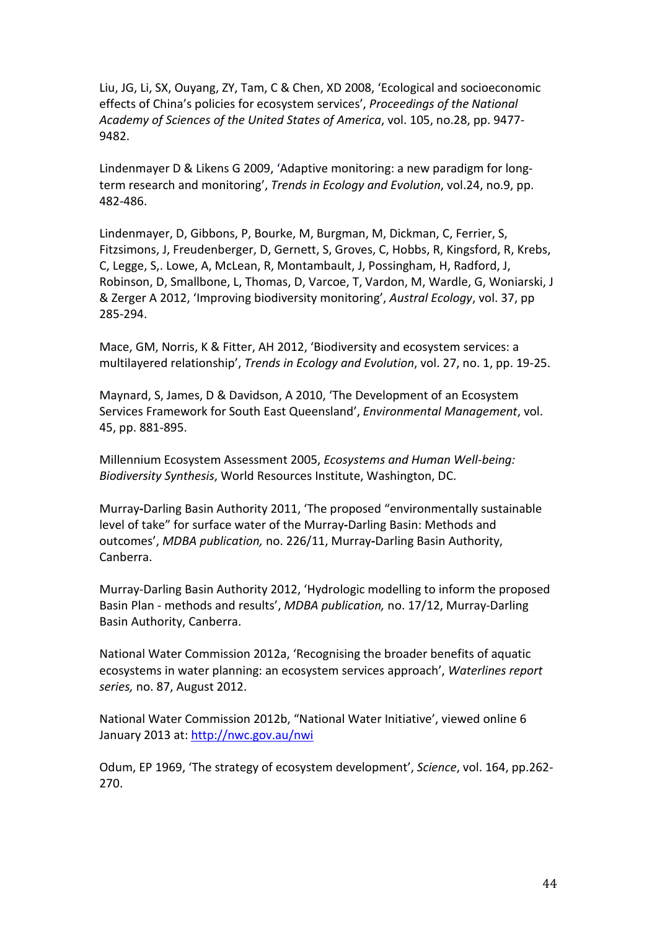Liu, JG, Li, SX, Ouyang, ZY, Tam, C & Chen, XD 2008, 'Ecological and socioeconomic effects of China's policies for ecosystem services', *Proceedings of the National Academy of Sciences of the United States of America*, vol. 105, no.28, pp. 9477- 9482.

Lindenmayer D & Likens G 2009, 'Adaptive monitoring: a new paradigm for longterm research and monitoring', *Trends in Ecology and Evolution*, vol.24, no.9, pp. 482-486.

Lindenmayer, D, Gibbons, P, Bourke, M, Burgman, M, Dickman, C, Ferrier, S, Fitzsimons, J, Freudenberger, D, Gernett, S, Groves, C, Hobbs, R, Kingsford, R, Krebs, C, Legge, S,. Lowe, A, McLean, R, Montambault, J, Possingham, H, Radford, J, Robinson, D, Smallbone, L, Thomas, D, Varcoe, T, Vardon, M, Wardle, G, Woniarski, J & Zerger A 2012, 'Improving biodiversity monitoring', *Austral Ecology*, vol. 37, pp 285-294.

Mace, GM, Norris, K & Fitter, AH 2012, 'Biodiversity and ecosystem services: a multilayered relationship', *Trends in Ecology and Evolution*, vol. 27, no. 1, pp. 19-25.

Maynard, S, James, D & Davidson, A 2010, 'The Development of an Ecosystem Services Framework for South East Queensland', *Environmental Management*, vol. 45, pp. 881-895.

Millennium Ecosystem Assessment 2005, *Ecosystems and Human Well-being: Biodiversity Synthesis*, World Resources Institute, Washington, DC.

Murray**-**Darling Basin Authority 2011, 'The proposed "environmentally sustainable level of take" for surface water of the Murray**-**Darling Basin: Methods and outcomes', *MDBA publication,* no. 226/11, Murray**-**Darling Basin Authority, Canberra.

Murray-Darling Basin Authority 2012, 'Hydrologic modelling to inform the proposed Basin Plan - methods and results', *MDBA publication,* no. 17/12, Murray-Darling Basin Authority, Canberra.

National Water Commission 2012a, 'Recognising the broader benefits of aquatic ecosystems in water planning: an ecosystem services approach', *Waterlines report series,* no. 87, August 2012.

National Water Commission 2012b, "National Water Initiative', viewed online 6 January 2013 at:<http://nwc.gov.au/nwi>

Odum, EP 1969, 'The strategy of ecosystem development', *Science*, vol. 164, pp.262- 270.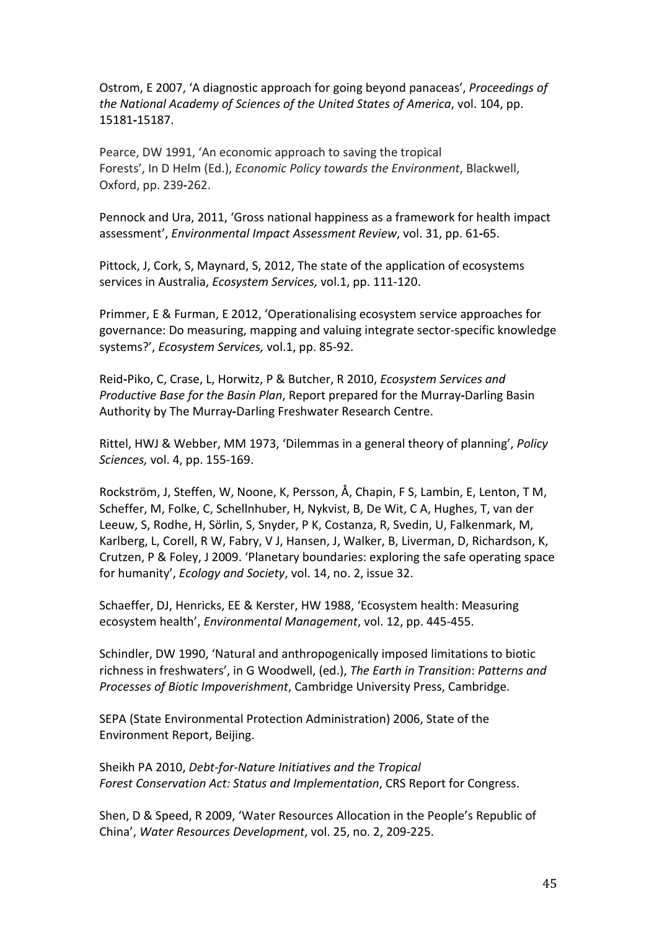Ostrom, E 2007, 'A diagnostic approach for going beyond panaceas', *Proceedings of the National Academy of Sciences of the United States of America*, vol. 104, pp. 15181**-**15187.

Pearce, DW 1991, 'An economic approach to saving the tropical Forests', In D Helm (Ed.), *Economic Policy towards the Environment*, Blackwell, Oxford, pp. 239**-**262.

Pennock and Ura, 2011, 'Gross national happiness as a framework for health impact assessment', *Environmental Impact Assessment Review*, vol. 31, pp. 61**-**65.

Pittock, J, Cork, S, Maynard, S, 2012, The state of the application of ecosystems services in Australia, *Ecosystem Services,* vol.1, pp. 111-120.

Primmer, E & Furman, E 2012, 'Operationalising ecosystem service approaches for governance: Do measuring, mapping and valuing integrate sector-specific knowledge systems?', *Ecosystem Services,* vol.1, pp. 85-92.

Reid**-**Piko, C, Crase, L, Horwitz, P & Butcher, R 2010, *Ecosystem Services and Productive Base for the Basin Plan*, Report prepared for the Murray**-**Darling Basin Authority by The Murray**-**Darling Freshwater Research Centre.

Rittel, HWJ & Webber, MM 1973, 'Dilemmas in a general theory of planning', *Policy Sciences,* vol. 4, pp. 155-169.

Rockström, J, Steffen, W, Noone, K, Persson, Å, Chapin, F S, Lambin, E, Lenton, T M, Scheffer, M, Folke, C, Schellnhuber, H, Nykvist, B, De Wit, C A, Hughes, T, van der Leeuw, S, Rodhe, H, Sörlin, S, Snyder, P K, Costanza, R, Svedin, U, Falkenmark, M, Karlberg, L, Corell, R W, Fabry, V J, Hansen, J, Walker, B, Liverman, D, Richardson, K, Crutzen, P & Foley, J 2009. 'Planetary boundaries: exploring the safe operating space for humanity', *Ecology and Society*, vol. 14, no. 2, issue 32.

Schaeffer, DJ, Henricks, EE & Kerster, HW 1988, 'Ecosystem health: Measuring ecosystem health', *Environmental Management*, vol. 12, pp. 445-455.

Schindler, DW 1990, 'Natural and anthropogenically imposed limitations to biotic richness in freshwaters', in G Woodwell, (ed.), *The Earth in Transition*: *Patterns and Processes of Biotic Impoverishment*, Cambridge University Press, Cambridge.

SEPA (State Environmental Protection Administration) 2006, State of the Environment Report, Beijing.

Sheikh PA 2010, *Debt-for-Nature Initiatives and the Tropical Forest Conservation Act: Status and Implementation*, CRS Report for Congress.

Shen, D & Speed, R 2009, 'Water Resources Allocation in the People's Republic of China', *Water Resources Development*, vol. 25, no. 2, 209-225.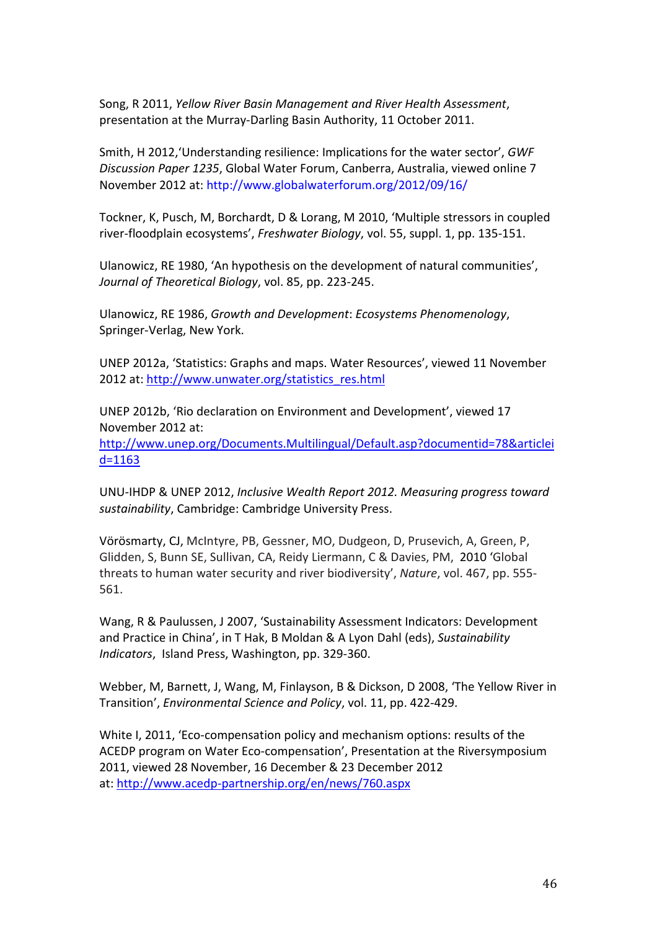Song, R 2011, *Yellow River Basin Management and River Health Assessment*, presentation at the Murray-Darling Basin Authority, 11 October 2011.

Smith, H 2012,'Understanding resilience: Implications for the water sector', *GWF Discussion Paper 1235*, Global Water Forum, Canberra, Australia, viewed online 7 November 2012 at: http://www.globalwaterforum.org/2012/09/16/

Tockner, K, Pusch, M, Borchardt, D & Lorang, M 2010, 'Multiple stressors in coupled river-floodplain ecosystems', *Freshwater Biology*, vol. 55, suppl. 1, pp. 135-151.

Ulanowicz, RE 1980, 'An hypothesis on the development of natural communities', *Journal of Theoretical Biology*, vol. 85, pp. 223-245.

Ulanowicz, RE 1986, *Growth and Development*: *Ecosystems Phenomenology*, Springer-Verlag, New York.

UNEP 2012a, 'Statistics: Graphs and maps. Water Resources', viewed 11 November 2012 at: [http://www.unwater.org/statistics\\_res.html](http://www.unwater.org/statistics_res.html)

UNEP 2012b, 'Rio declaration on Environment and Development', viewed 17 November 2012 at: [http://www.unep.org/Documents.Multilingual/Default.asp?documentid=78&articlei](http://www.unep.org/Documents.Multilingual/Default.asp?documentid=78&articleid=1163) [d=1163](http://www.unep.org/Documents.Multilingual/Default.asp?documentid=78&articleid=1163)

UNU-IHDP & UNEP 2012, *Inclusive Wealth Report 2012. Measuring progress toward sustainability*, Cambridge: Cambridge University Press.

Vörösmarty, CJ, McIntyre, PB, Gessner, MO, Dudgeon, D, Prusevich, A, Green, P, Glidden, S, Bunn SE, Sullivan, CA, Reidy Liermann, C & Davies, PM, 2010 'Global threats to human water security and river biodiversity', *Nature*, vol. 467, pp. 555- 561.

Wang, R & Paulussen, J 2007, 'Sustainability Assessment Indicators: Development and Practice in China', in T Hak, B Moldan & A Lyon Dahl (eds), *Sustainability Indicators*, Island Press, Washington, pp. 329-360.

Webber, M, Barnett, J, Wang, M, Finlayson, B & Dickson, D 2008, 'The Yellow River in Transition', *Environmental Science and Policy*, vol. 11, pp. 422-429.

White I, 2011, 'Eco-compensation policy and mechanism options: results of the ACEDP program on Water Eco-compensation', Presentation at the Riversymposium 2011, viewed 28 November, 16 December & 23 December 2012 at: <http://www.acedp-partnership.org/en/news/760.aspx>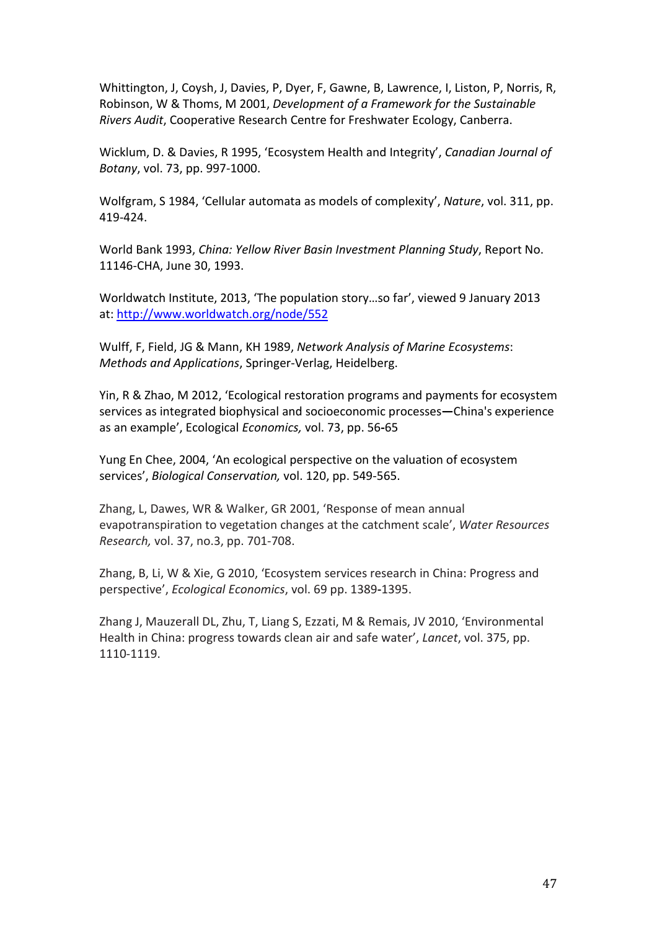Whittington, J, Coysh, J, Davies, P, Dyer, F, Gawne, B, Lawrence, I, Liston, P, Norris, R, Robinson, W & Thoms, M 2001, *Development of a Framework for the Sustainable Rivers Audit*, Cooperative Research Centre for Freshwater Ecology, Canberra.

Wicklum, D. & Davies, R 1995, 'Ecosystem Health and Integrity', *Canadian Journal of Botany*, vol. 73, pp. 997-1000.

Wolfgram, S 1984, 'Cellular automata as models of complexity', *Nature*, vol. 311, pp. 419-424.

World Bank 1993, *China: Yellow River Basin Investment Planning Study*, Report No. 11146-CHA, June 30, 1993.

Worldwatch Institute, 2013, 'The population story…so far', viewed 9 January 2013 at: <http://www.worldwatch.org/node/552>

Wulff, F, Field, JG & Mann, KH 1989, *Network Analysis of Marine Ecosystems*: *Methods and Applications*, Springer-Verlag, Heidelberg.

Yin, R & Zhao, M 2012, 'Ecological restoration programs and payments for ecosystem services as integrated biophysical and socioeconomic processes**—**China's experience as an example', Ecological *Economics,* vol. 73, pp. 56**-**65

Yung En Chee, 2004, 'An ecological perspective on the valuation of ecosystem services', *Biological Conservation,* vol. 120, pp. 549-565.

Zhang, L, Dawes, WR & Walker, GR 2001, 'Response of mean annual evapotranspiration to vegetation changes at the catchment scale', *Water Resources Research,* vol. 37, no.3, pp. 701-708.

Zhang, B, Li, W & Xie, G 2010, 'Ecosystem services research in China: Progress and perspective', *Ecological Economics*, vol. 69 pp. 1389**-**1395.

Zhang J, Mauzerall DL, Zhu, T, Liang S, Ezzati, M & Remais, JV 2010, 'Environmental Health in China: progress towards clean air and safe water', *Lancet*, vol. 375, pp. 1110-1119.